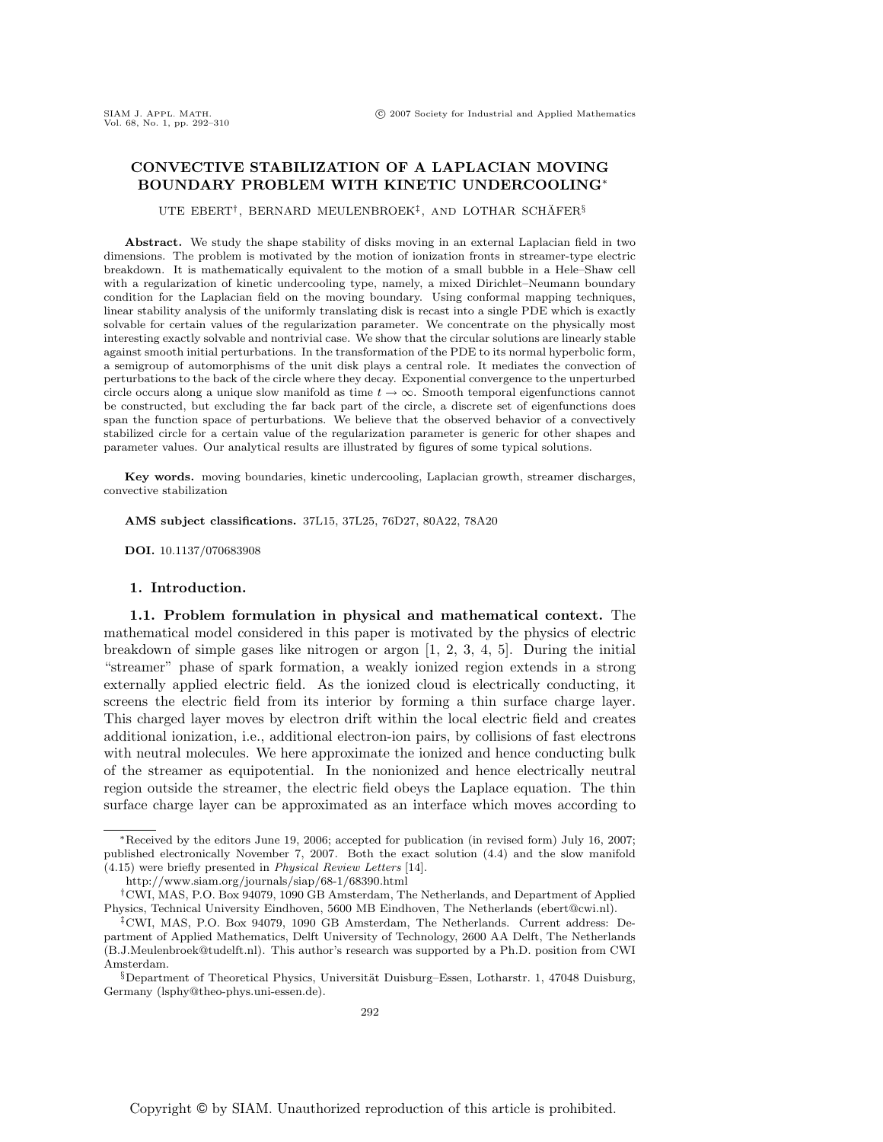# **CONVECTIVE STABILIZATION OF A LAPLACIAN MOVING BOUNDARY PROBLEM WITH KINETIC UNDERCOOLING**∗

UTE EBERT<sup>†</sup>, BERNARD MEULENBROEK<sup>‡</sup>, AND LOTHAR SCHÄFER<sup>§</sup>

**Abstract.** We study the shape stability of disks moving in an external Laplacian field in two dimensions. The problem is motivated by the motion of ionization fronts in streamer-type electric breakdown. It is mathematically equivalent to the motion of a small bubble in a Hele–Shaw cell with a regularization of kinetic undercooling type, namely, a mixed Dirichlet–Neumann boundary condition for the Laplacian field on the moving boundary. Using conformal mapping techniques, linear stability analysis of the uniformly translating disk is recast into a single PDE which is exactly solvable for certain values of the regularization parameter. We concentrate on the physically most interesting exactly solvable and nontrivial case. We show that the circular solutions are linearly stable against smooth initial perturbations. In the transformation of the PDE to its normal hyperbolic form, a semigroup of automorphisms of the unit disk plays a central role. It mediates the convection of perturbations to the back of the circle where they decay. Exponential convergence to the unperturbed circle occurs along a unique slow manifold as time  $t \to \infty$ . Smooth temporal eigenfunctions cannot be constructed, but excluding the far back part of the circle, a discrete set of eigenfunctions does span the function space of perturbations. We believe that the observed behavior of a convectively stabilized circle for a certain value of the regularization parameter is generic for other shapes and parameter values. Our analytical results are illustrated by figures of some typical solutions.

**Key words.** moving boundaries, kinetic undercooling, Laplacian growth, streamer discharges, convective stabilization

**AMS subject classifications.** 37L15, 37L25, 76D27, 80A22, 78A20

**DOI.** 10.1137/070683908

#### **1. Introduction.**

**1.1. Problem formulation in physical and mathematical context.** The mathematical model considered in this paper is motivated by the physics of electric breakdown of simple gases like nitrogen or argon  $[1, 2, 3, 4, 5]$ . During the initial "streamer" phase of spark formation, a weakly ionized region extends in a strong externally applied electric field. As the ionized cloud is electrically conducting, it screens the electric field from its interior by forming a thin surface charge layer. This charged layer moves by electron drift within the local electric field and creates additional ionization, i.e., additional electron-ion pairs, by collisions of fast electrons with neutral molecules. We here approximate the ionized and hence conducting bulk of the streamer as equipotential. In the nonionized and hence electrically neutral region outside the streamer, the electric field obeys the Laplace equation. The thin surface charge layer can be approximated as an interface which moves according to

<sup>∗</sup>Received by the editors June 19, 2006; accepted for publication (in revised form) July 16, 2007; published electronically November 7, 2007. Both the exact solution (4.4) and the slow manifold (4.15) were briefly presented in Physical Review Letters [14].

http://www.siam.org/journals/siap/68-1/68390.html

<sup>†</sup>CWI, MAS, P.O. Box 94079, 1090 GB Amsterdam, The Netherlands, and Department of Applied Physics, Technical University Eindhoven, 5600 MB Eindhoven, The Netherlands (ebert@cwi.nl).

<sup>‡</sup>CWI, MAS, P.O. Box 94079, 1090 GB Amsterdam, The Netherlands. Current address: Department of Applied Mathematics, Delft University of Technology, 2600 AA Delft, The Netherlands (B.J.Meulenbroek@tudelft.nl). This author's research was supported by a Ph.D. position from CWI Amsterdam.

 $\S$ Department of Theoretical Physics, Universität Duisburg–Essen, Lotharstr. 1, 47048 Duisburg, Germany (lsphy@theo-phys.uni-essen.de).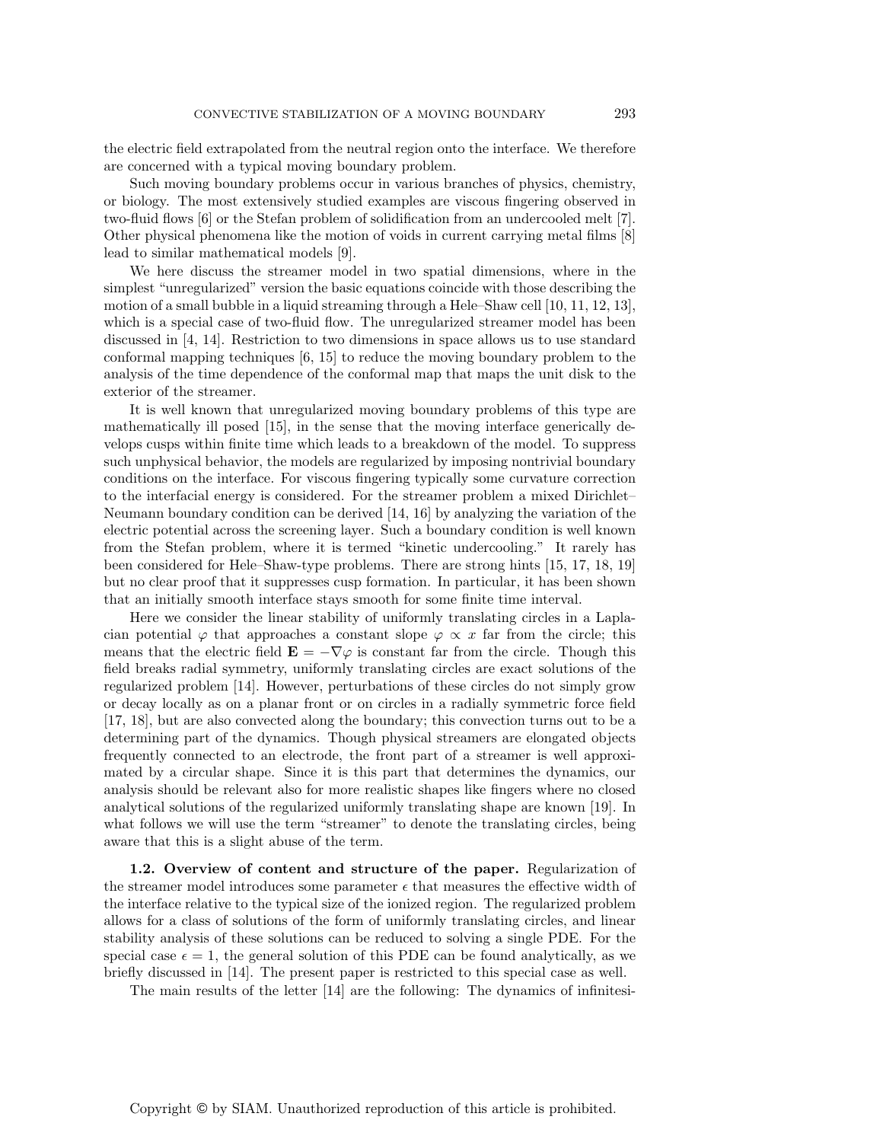the electric field extrapolated from the neutral region onto the interface. We therefore are concerned with a typical moving boundary problem.

Such moving boundary problems occur in various branches of physics, chemistry, or biology. The most extensively studied examples are viscous fingering observed in two-fluid flows [6] or the Stefan problem of solidification from an undercooled melt [7]. Other physical phenomena like the motion of voids in current carrying metal films [8] lead to similar mathematical models [9].

We here discuss the streamer model in two spatial dimensions, where in the simplest "unregularized" version the basic equations coincide with those describing the motion of a small bubble in a liquid streaming through a Hele–Shaw cell [10, 11, 12, 13], which is a special case of two-fluid flow. The unregularized streamer model has been discussed in [4, 14]. Restriction to two dimensions in space allows us to use standard conformal mapping techniques [6, 15] to reduce the moving boundary problem to the analysis of the time dependence of the conformal map that maps the unit disk to the exterior of the streamer.

It is well known that unregularized moving boundary problems of this type are mathematically ill posed [15], in the sense that the moving interface generically develops cusps within finite time which leads to a breakdown of the model. To suppress such unphysical behavior, the models are regularized by imposing nontrivial boundary conditions on the interface. For viscous fingering typically some curvature correction to the interfacial energy is considered. For the streamer problem a mixed Dirichlet– Neumann boundary condition can be derived [14, 16] by analyzing the variation of the electric potential across the screening layer. Such a boundary condition is well known from the Stefan problem, where it is termed "kinetic undercooling." It rarely has been considered for Hele–Shaw-type problems. There are strong hints [15, 17, 18, 19] but no clear proof that it suppresses cusp formation. In particular, it has been shown that an initially smooth interface stays smooth for some finite time interval.

Here we consider the linear stability of uniformly translating circles in a Laplacian potential  $\varphi$  that approaches a constant slope  $\varphi \propto x$  far from the circle; this means that the electric field  $\mathbf{E} = -\nabla \varphi$  is constant far from the circle. Though this field breaks radial symmetry, uniformly translating circles are exact solutions of the regularized problem [14]. However, perturbations of these circles do not simply grow or decay locally as on a planar front or on circles in a radially symmetric force field [17, 18], but are also convected along the boundary; this convection turns out to be a determining part of the dynamics. Though physical streamers are elongated objects frequently connected to an electrode, the front part of a streamer is well approximated by a circular shape. Since it is this part that determines the dynamics, our analysis should be relevant also for more realistic shapes like fingers where no closed analytical solutions of the regularized uniformly translating shape are known [19]. In what follows we will use the term "streamer" to denote the translating circles, being aware that this is a slight abuse of the term.

**1.2. Overview of content and structure of the paper.** Regularization of the streamer model introduces some parameter  $\epsilon$  that measures the effective width of the interface relative to the typical size of the ionized region. The regularized problem allows for a class of solutions of the form of uniformly translating circles, and linear stability analysis of these solutions can be reduced to solving a single PDE. For the special case  $\epsilon = 1$ , the general solution of this PDE can be found analytically, as we briefly discussed in [14]. The present paper is restricted to this special case as well.

The main results of the letter [14] are the following: The dynamics of infinitesi-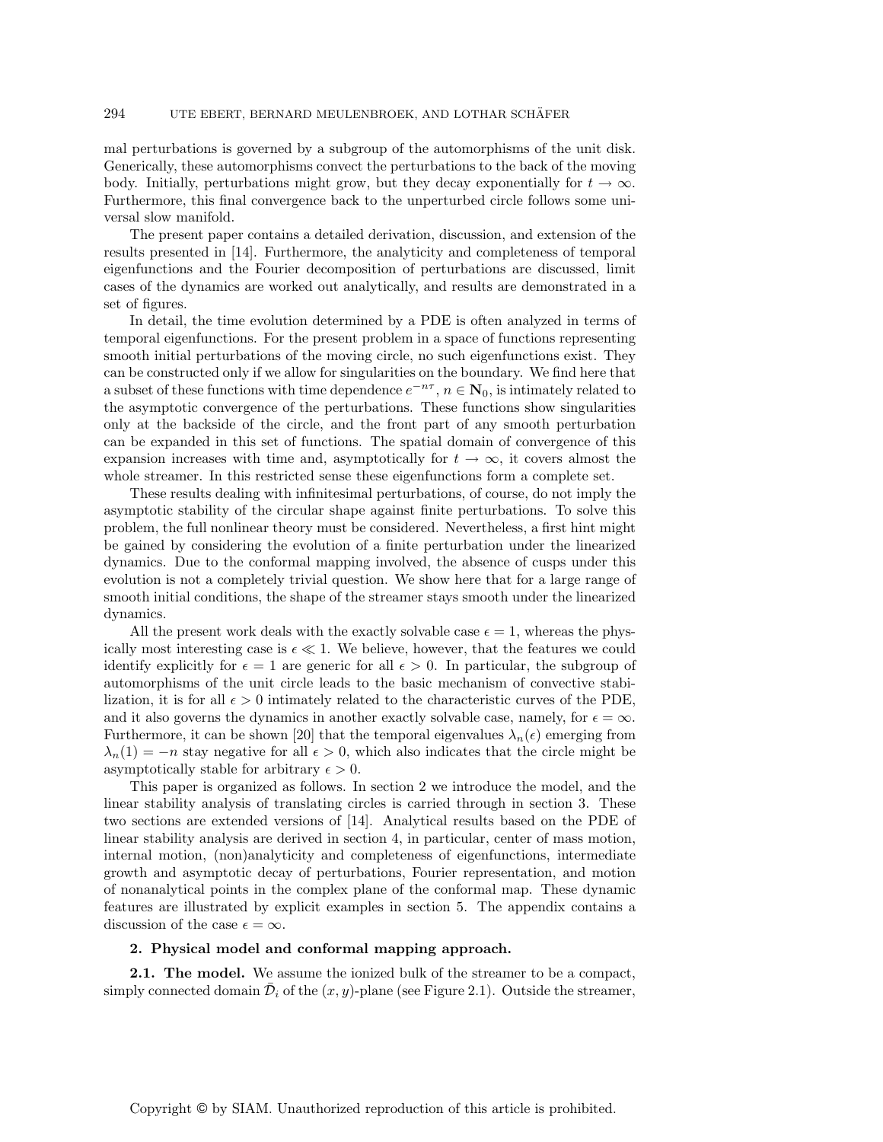mal perturbations is governed by a subgroup of the automorphisms of the unit disk. Generically, these automorphisms convect the perturbations to the back of the moving body. Initially, perturbations might grow, but they decay exponentially for  $t \to \infty$ . Furthermore, this final convergence back to the unperturbed circle follows some universal slow manifold.

The present paper contains a detailed derivation, discussion, and extension of the results presented in [14]. Furthermore, the analyticity and completeness of temporal eigenfunctions and the Fourier decomposition of perturbations are discussed, limit cases of the dynamics are worked out analytically, and results are demonstrated in a set of figures.

In detail, the time evolution determined by a PDE is often analyzed in terms of temporal eigenfunctions. For the present problem in a space of functions representing smooth initial perturbations of the moving circle, no such eigenfunctions exist. They can be constructed only if we allow for singularities on the boundary. We find here that a subset of these functions with time dependence  $e^{-n\tau}$ ,  $n \in \mathbb{N}_0$ , is intimately related to the asymptotic convergence of the perturbations. These functions show singularities only at the backside of the circle, and the front part of any smooth perturbation can be expanded in this set of functions. The spatial domain of convergence of this expansion increases with time and, asymptotically for  $t \to \infty$ , it covers almost the whole streamer. In this restricted sense these eigenfunctions form a complete set.

These results dealing with infinitesimal perturbations, of course, do not imply the asymptotic stability of the circular shape against finite perturbations. To solve this problem, the full nonlinear theory must be considered. Nevertheless, a first hint might be gained by considering the evolution of a finite perturbation under the linearized dynamics. Due to the conformal mapping involved, the absence of cusps under this evolution is not a completely trivial question. We show here that for a large range of smooth initial conditions, the shape of the streamer stays smooth under the linearized dynamics.

All the present work deals with the exactly solvable case  $\epsilon = 1$ , whereas the physically most interesting case is  $\epsilon \ll 1$ . We believe, however, that the features we could identify explicitly for  $\epsilon = 1$  are generic for all  $\epsilon > 0$ . In particular, the subgroup of automorphisms of the unit circle leads to the basic mechanism of convective stabilization, it is for all  $\epsilon > 0$  intimately related to the characteristic curves of the PDE, and it also governs the dynamics in another exactly solvable case, namely, for  $\epsilon = \infty$ . Furthermore, it can be shown [20] that the temporal eigenvalues  $\lambda_n(\epsilon)$  emerging from  $\lambda_n(1) = -n$  stay negative for all  $\epsilon > 0$ , which also indicates that the circle might be asymptotically stable for arbitrary  $\epsilon > 0$ .

This paper is organized as follows. In section 2 we introduce the model, and the linear stability analysis of translating circles is carried through in section 3. These two sections are extended versions of [14]. Analytical results based on the PDE of linear stability analysis are derived in section 4, in particular, center of mass motion, internal motion, (non)analyticity and completeness of eigenfunctions, intermediate growth and asymptotic decay of perturbations, Fourier representation, and motion of nonanalytical points in the complex plane of the conformal map. These dynamic features are illustrated by explicit examples in section 5. The appendix contains a discussion of the case  $\epsilon = \infty$ .

## **2. Physical model and conformal mapping approach.**

**2.1.** The model. We assume the ionized bulk of the streamer to be a compact, simply connected domain  $\overline{\mathcal{D}}_i$  of the  $(x, y)$ -plane (see Figure 2.1). Outside the streamer,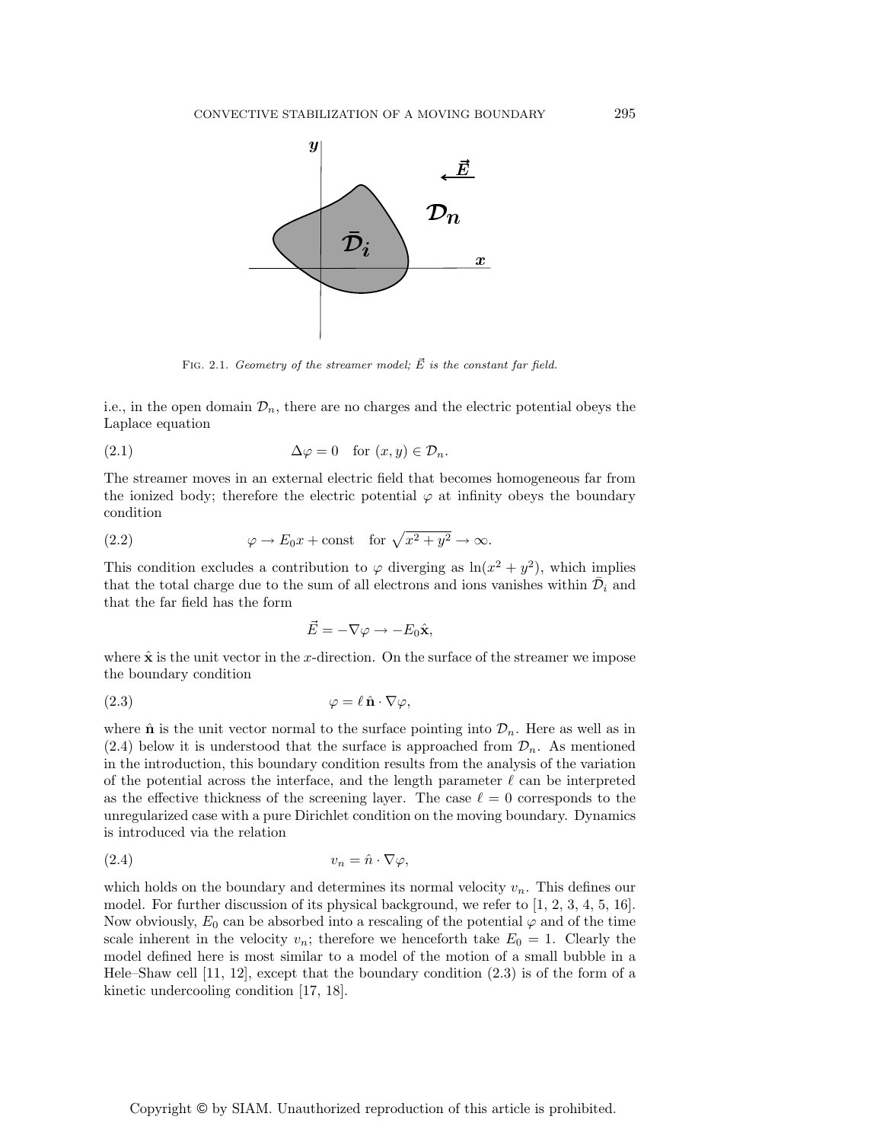

FIG. 2.1. Geometry of the streamer model;  $\vec{E}$  is the constant far field.

i.e., in the open domain  $\mathcal{D}_n$ , there are no charges and the electric potential obeys the Laplace equation

(2.1) 
$$
\Delta \varphi = 0 \quad \text{for } (x, y) \in \mathcal{D}_n.
$$

The streamer moves in an external electric field that becomes homogeneous far from the ionized body; therefore the electric potential  $\varphi$  at infinity obeys the boundary condition

(2.2) 
$$
\varphi \to E_0 x + \text{const} \quad \text{for } \sqrt{x^2 + y^2} \to \infty.
$$

This condition excludes a contribution to  $\varphi$  diverging as  $\ln(x^2 + y^2)$ , which implies that the total charge due to the sum of all electrons and ions vanishes within  $\bar{\mathcal{D}}_i$  and that the far field has the form

$$
\vec{E} = -\nabla \varphi \rightarrow -E_0 \hat{\mathbf{x}},
$$

where  $\hat{\mathbf{x}}$  is the unit vector in the x-direction. On the surface of the streamer we impose the boundary condition

(2.3) 
$$
\varphi = \ell \, \hat{\mathbf{n}} \cdot \nabla \varphi,
$$

where  $\hat{\mathbf{n}}$  is the unit vector normal to the surface pointing into  $\mathcal{D}_n$ . Here as well as in (2.4) below it is understood that the surface is approached from  $\mathcal{D}_n$ . As mentioned in the introduction, this boundary condition results from the analysis of the variation of the potential across the interface, and the length parameter  $\ell$  can be interpreted as the effective thickness of the screening layer. The case  $\ell = 0$  corresponds to the unregularized case with a pure Dirichlet condition on the moving boundary. Dynamics is introduced via the relation

$$
(2.4) \t\t v_n = \hat{n} \cdot \nabla \varphi,
$$

which holds on the boundary and determines its normal velocity  $v_n$ . This defines our model. For further discussion of its physical background, we refer to [1, 2, 3, 4, 5, 16]. Now obviously,  $E_0$  can be absorbed into a rescaling of the potential  $\varphi$  and of the time scale inherent in the velocity  $v_n$ ; therefore we henceforth take  $E_0 = 1$ . Clearly the model defined here is most similar to a model of the motion of a small bubble in a Hele–Shaw cell  $[11, 12]$ , except that the boundary condition  $(2.3)$  is of the form of a kinetic undercooling condition [17, 18].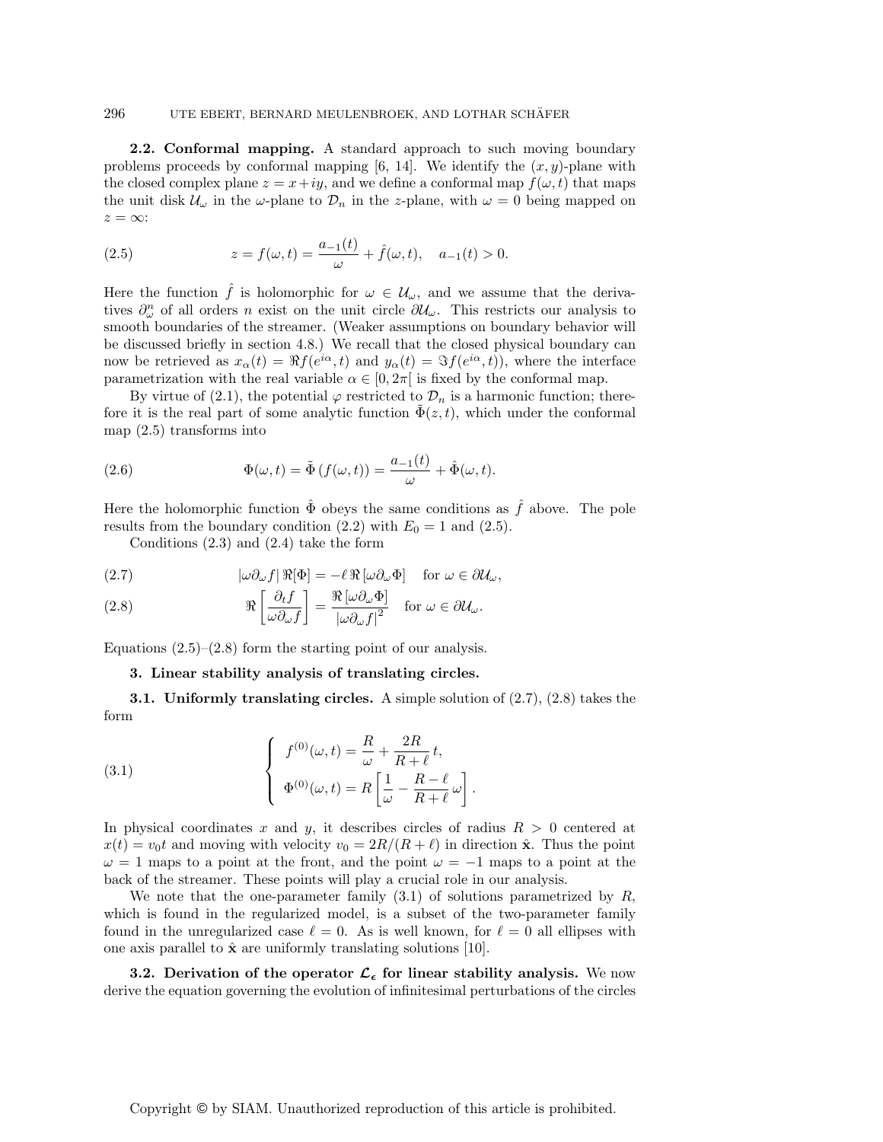**2.2. Conformal mapping.** A standard approach to such moving boundary problems proceeds by conformal mapping [6, 14]. We identify the  $(x, y)$ -plane with the closed complex plane  $z = x+iy$ , and we define a conformal map  $f(\omega, t)$  that maps the unit disk  $\mathcal{U}_{\omega}$  in the  $\omega$ -plane to  $\mathcal{D}_n$  in the z-plane, with  $\omega = 0$  being mapped on  $z = \infty$ :

(2.5) 
$$
z = f(\omega, t) = \frac{a_{-1}(t)}{\omega} + \hat{f}(\omega, t), \quad a_{-1}(t) > 0.
$$

Here the function  $\hat{f}$  is holomorphic for  $\omega \in \mathcal{U}_{\omega}$ , and we assume that the derivatives  $\partial_{\omega}^{n}$  of all orders n exist on the unit circle  $\partial \mathcal{U}_{\omega}$ . This restricts our analysis to smooth boundaries of the streamer. (Weaker assumptions on boundary behavior will be discussed briefly in section 4.8.) We recall that the closed physical boundary can now be retrieved as  $x_\alpha(t) = \Re f(e^{i\alpha}, t)$  and  $y_\alpha(t) = \Im f(e^{i\alpha}, t)$ , where the interface parametrization with the real variable  $\alpha \in [0, 2\pi]$  is fixed by the conformal map.

By virtue of (2.1), the potential  $\varphi$  restricted to  $\mathcal{D}_n$  is a harmonic function; therefore it is the real part of some analytic function  $\tilde{\Phi}(z, t)$ , which under the conformal map (2.5) transforms into

(2.6) 
$$
\Phi(\omega, t) = \tilde{\Phi}(f(\omega, t)) = \frac{a_{-1}(t)}{\omega} + \hat{\Phi}(\omega, t).
$$

Here the holomorphic function  $\hat{\Phi}$  obeys the same conditions as  $\hat{f}$  above. The pole results from the boundary condition (2.2) with  $E_0 = 1$  and (2.5).

Conditions (2.3) and (2.4) take the form

(2.7) 
$$
|\omega \partial_{\omega} f| \Re[\Phi] = -\ell \Re[\omega \partial_{\omega} \Phi] \text{ for } \omega \in \partial \mathcal{U}_{\omega},
$$

(2.8) 
$$
\Re\left[\frac{\partial_t f}{\omega \partial_\omega f}\right] = \frac{\Re[\omega \partial_\omega \Phi]}{|\omega \partial_\omega f|^2} \text{ for } \omega \in \partial \mathcal{U}_\omega.
$$

Equations  $(2.5)$ – $(2.8)$  form the starting point of our analysis.

# **3. Linear stability analysis of translating circles.**

**3.1.** Uniformly translating circles. A simple solution of  $(2.7)$ ,  $(2.8)$  takes the form

(3.1) 
$$
\begin{cases} f^{(0)}(\omega, t) = \frac{R}{\omega} + \frac{2R}{R+\ell}t, \\ \Phi^{(0)}(\omega, t) = R\left[\frac{1}{\omega} - \frac{R-\ell}{R+\ell}\omega\right]. \end{cases}
$$

In physical coordinates x and y, it describes circles of radius  $R > 0$  centered at  $x(t) = v_0 t$  and moving with velocity  $v_0 = 2R/(R+\ell)$  in direction  $\hat{\mathbf{x}}$ . Thus the point  $\omega = 1$  maps to a point at the front, and the point  $\omega = -1$  maps to a point at the back of the streamer. These points will play a crucial role in our analysis.

We note that the one-parameter family  $(3.1)$  of solutions parametrized by R, which is found in the regularized model, is a subset of the two-parameter family found in the unregularized case  $\ell = 0$ . As is well known, for  $\ell = 0$  all ellipses with one axis parallel to  $\hat{\mathbf{x}}$  are uniformly translating solutions [10].

**3.2.** Derivation of the operator  $\mathcal{L}_{\epsilon}$  for linear stability analysis. We now derive the equation governing the evolution of infinitesimal perturbations of the circles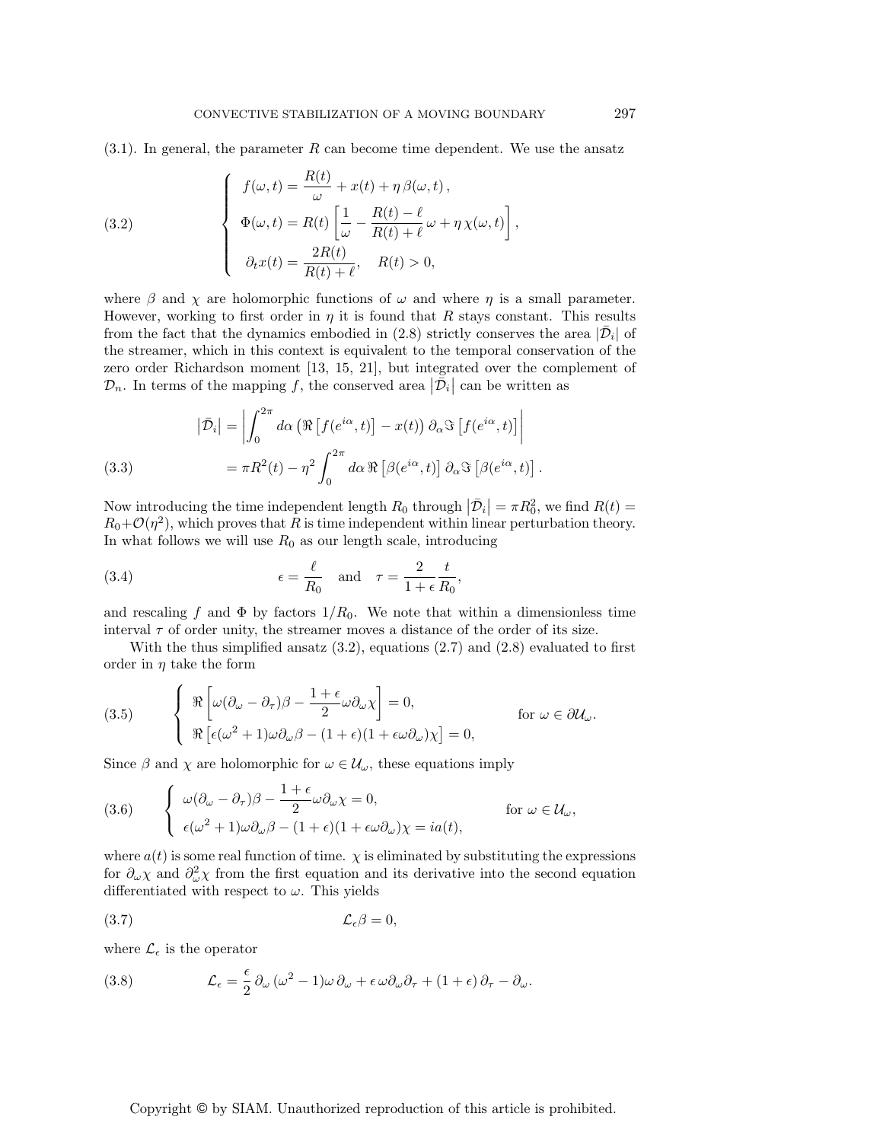$(3.1)$ . In general, the parameter R can become time dependent. We use the ansatz

(3.2)  

$$
\begin{cases}\nf(\omega, t) = \frac{R(t)}{\omega} + x(t) + \eta \beta(\omega, t), \\
\Phi(\omega, t) = R(t) \left[ \frac{1}{\omega} - \frac{R(t) - \ell}{R(t) + \ell} \omega + \eta \chi(\omega, t) \right], \\
\partial_t x(t) = \frac{2R(t)}{R(t) + \ell}, \quad R(t) > 0,\n\end{cases}
$$

where  $\beta$  and  $\chi$  are holomorphic functions of  $\omega$  and where  $\eta$  is a small parameter. However, working to first order in  $\eta$  it is found that R stays constant. This results from the fact that the dynamics embodied in (2.8) strictly conserves the area  $|\mathcal{D}_i|$  of the streamer, which in this context is equivalent to the temporal conservation of the zero order Richardson moment [13, 15, 21], but integrated over the complement of  $\mathcal{D}_n$ . In terms of the mapping f, the conserved area  $|\bar{\mathcal{D}}_i|$  can be written as

(3.3)  
\n
$$
|\bar{\mathcal{D}}_i| = \left| \int_0^{2\pi} d\alpha \left( \Re \left[ f(e^{i\alpha}, t) \right] - x(t) \right) \partial_\alpha \Im \left[ f(e^{i\alpha}, t) \right] \right|
$$
\n
$$
= \pi R^2(t) - \eta^2 \int_0^{2\pi} d\alpha \Re \left[ \beta(e^{i\alpha}, t) \right] \partial_\alpha \Im \left[ \beta(e^{i\alpha}, t) \right].
$$

Now introducing the time independent length  $R_0$  through  $|\bar{\mathcal{D}}_i| = \pi R_0^2$ , we find  $R(t) = R_0^2$  $R_0+\mathcal{O}(\eta^2)$ , which proves that R is time independent within linear perturbation theory. In what follows we will use  $R_0$  as our length scale, introducing

(3.4) 
$$
\epsilon = \frac{\ell}{R_0} \quad \text{and} \quad \tau = \frac{2}{1 + \epsilon} \frac{t}{R_0},
$$

and rescaling f and  $\Phi$  by factors  $1/R_0$ . We note that within a dimensionless time interval  $\tau$  of order unity, the streamer moves a distance of the order of its size.

With the thus simplified ansatz  $(3.2)$ , equations  $(2.7)$  and  $(2.8)$  evaluated to first order in  $\eta$  take the form

(3.5) 
$$
\begin{cases} \Re \left[ \omega (\partial_{\omega} - \partial_{\tau}) \beta - \frac{1+\epsilon}{2} \omega \partial_{\omega} \chi \right] = 0, \\ \Re \left[ \epsilon (\omega^2 + 1) \omega \partial_{\omega} \beta - (1+\epsilon)(1+\epsilon \omega \partial_{\omega}) \chi \right] = 0, \end{cases}
$$
 for  $\omega \in \partial \mathcal{U}_{\omega}$ .

Since  $\beta$  and  $\chi$  are holomorphic for  $\omega \in \mathcal{U}_{\omega}$ , these equations imply

(3.6) 
$$
\begin{cases} \omega(\partial_{\omega} - \partial_{\tau})\beta - \frac{1+\epsilon}{2}\omega\partial_{\omega}\chi = 0, \\ \epsilon(\omega^2 + 1)\omega\partial_{\omega}\beta - (1+\epsilon)(1+\epsilon\omega\partial_{\omega})\chi = ia(t), \end{cases}
$$
 for  $\omega \in \mathcal{U}_{\omega}$ ,

where  $a(t)$  is some real function of time.  $\chi$  is eliminated by substituting the expressions for  $\partial_{\omega}\chi$  and  $\partial_{\omega}^2\chi$  from the first equation and its derivative into the second equation differentiated with respect to  $\omega$ . This yields

$$
(3.7) \t\t \t\t \mathcal{L}_{\epsilon}\beta = 0,
$$

where  $\mathcal{L}_{\epsilon}$  is the operator

(3.8) 
$$
\mathcal{L}_{\epsilon} = \frac{\epsilon}{2} \partial_{\omega} (\omega^2 - 1) \omega \partial_{\omega} + \epsilon \omega \partial_{\omega} \partial_{\tau} + (1 + \epsilon) \partial_{\tau} - \partial_{\omega}.
$$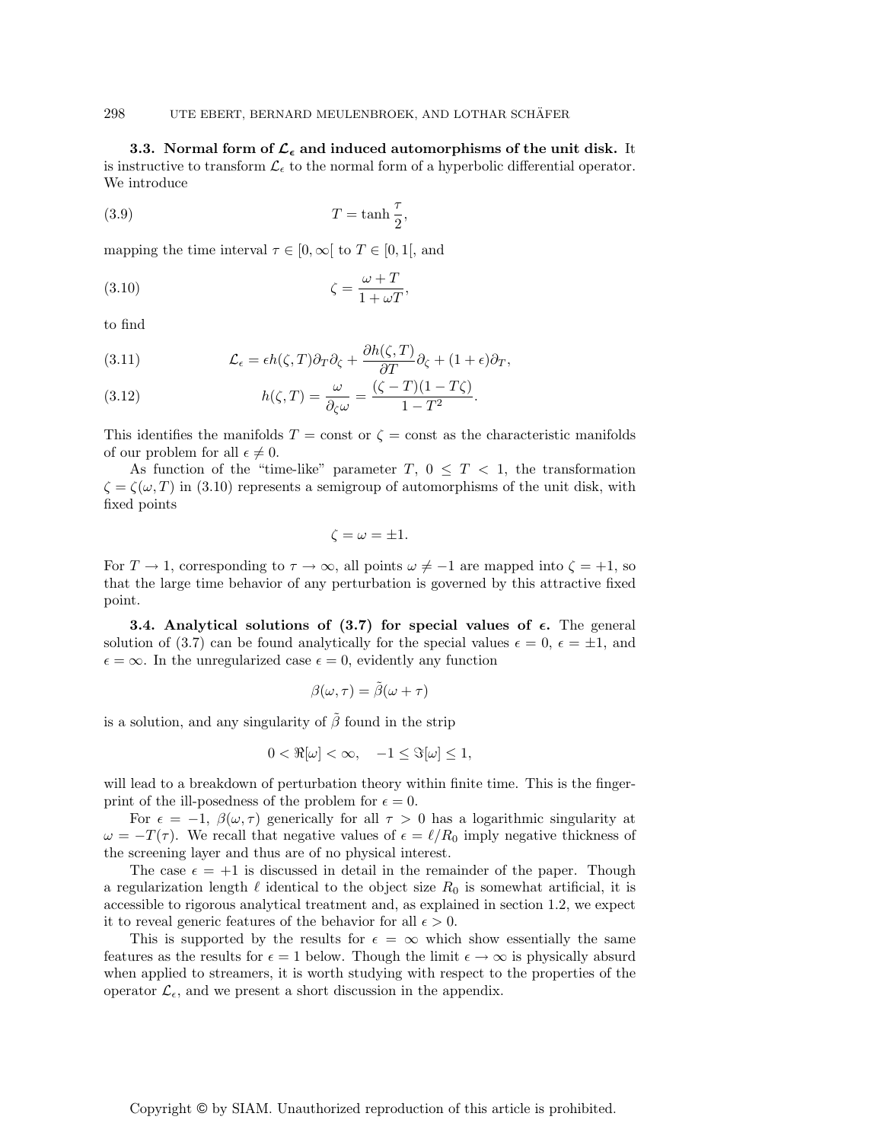**3.3.** Normal form of  $\mathcal{L}_{\epsilon}$  and induced automorphisms of the unit disk. It is instructive to transform  $\mathcal{L}_{\epsilon}$  to the normal form of a hyperbolic differential operator. We introduce

$$
(3.9) \t\t T = \tanh\frac{\tau}{2},
$$

mapping the time interval  $\tau \in [0,\infty]$  to  $T \in [0,1]$ , and

$$
\zeta = \frac{\omega + T}{1 + \omega T},
$$

to find

(3.11) 
$$
\mathcal{L}_{\epsilon} = \epsilon h(\zeta, T) \partial_T \partial_{\zeta} + \frac{\partial h(\zeta, T)}{\partial T} \partial_{\zeta} + (1 + \epsilon) \partial_T,
$$

(3.12) 
$$
h(\zeta, T) = \frac{\omega}{\partial_{\zeta}\omega} = \frac{(\zeta - T)(1 - T\zeta)}{1 - T^2}.
$$

This identifies the manifolds  $T = \text{const}$  or  $\zeta = \text{const}$  as the characteristic manifolds of our problem for all  $\epsilon \neq 0$ .

As function of the "time-like" parameter  $T$ ,  $0 \leq T < 1$ , the transformation  $\zeta = \zeta(\omega, T)$  in (3.10) represents a semigroup of automorphisms of the unit disk, with fixed points

$$
\zeta = \omega = \pm 1.
$$

For  $T \to 1$ , corresponding to  $\tau \to \infty$ , all points  $\omega \neq -1$  are mapped into  $\zeta = +1$ , so that the large time behavior of any perturbation is governed by this attractive fixed point.

**3.4.** Analytical solutions of  $(3.7)$  for special values of  $\epsilon$ . The general solution of (3.7) can be found analytically for the special values  $\epsilon = 0, \epsilon = \pm 1$ , and  $\epsilon = \infty$ . In the unregularized case  $\epsilon = 0$ , evidently any function

$$
\beta(\omega,\tau) = \tilde{\beta}(\omega + \tau)
$$

is a solution, and any singularity of  $\tilde{\beta}$  found in the strip

$$
0 < \Re[\omega] < \infty, \quad -1 \leq \Im[\omega] \leq 1,
$$

will lead to a breakdown of perturbation theory within finite time. This is the fingerprint of the ill-posedness of the problem for  $\epsilon = 0$ .

For  $\epsilon = -1$ ,  $\beta(\omega, \tau)$  generically for all  $\tau > 0$  has a logarithmic singularity at  $\omega = -T(\tau)$ . We recall that negative values of  $\epsilon = \ell/R_0$  imply negative thickness of the screening layer and thus are of no physical interest.

The case  $\epsilon = +1$  is discussed in detail in the remainder of the paper. Though a regularization length  $\ell$  identical to the object size  $R_0$  is somewhat artificial, it is accessible to rigorous analytical treatment and, as explained in section 1.2, we expect it to reveal generic features of the behavior for all  $\epsilon > 0$ .

This is supported by the results for  $\epsilon = \infty$  which show essentially the same features as the results for  $\epsilon = 1$  below. Though the limit  $\epsilon \to \infty$  is physically absurd when applied to streamers, it is worth studying with respect to the properties of the operator  $\mathcal{L}_{\epsilon}$ , and we present a short discussion in the appendix.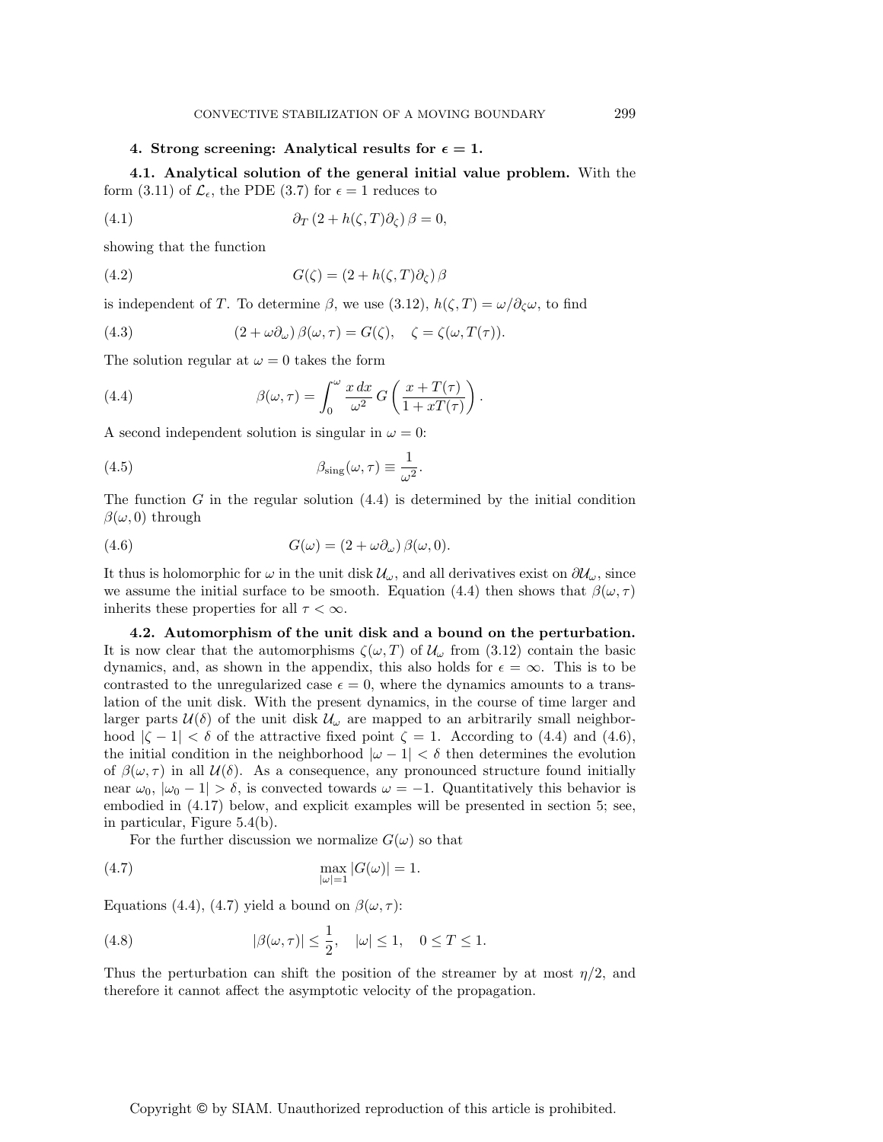## **4. Strong screening: Analytical results for**  $\epsilon = 1$ .

**4.1. Analytical solution of the general initial value problem.** With the form (3.11) of  $\mathcal{L}_{\epsilon}$ , the PDE (3.7) for  $\epsilon = 1$  reduces to

(4.1) 
$$
\partial_T (2 + h(\zeta, T) \partial_\zeta) \beta = 0,
$$

showing that the function

(4.2) 
$$
G(\zeta) = (2 + h(\zeta, T)\partial_{\zeta})\beta
$$

is independent of T. To determine  $\beta$ , we use (3.12),  $h(\zeta,T) = \omega/\partial_{\zeta}\omega$ , to find

(4.3) 
$$
(2 + \omega \partial_{\omega}) \beta(\omega, \tau) = G(\zeta), \quad \zeta = \zeta(\omega, T(\tau)).
$$

The solution regular at  $\omega = 0$  takes the form

(4.4) 
$$
\beta(\omega,\tau) = \int_0^{\omega} \frac{x \, dx}{\omega^2} G\left(\frac{x + T(\tau)}{1 + xT(\tau)}\right).
$$

A second independent solution is singular in  $\omega = 0$ :

(4.5) 
$$
\beta_{\rm sing}(\omega,\tau) \equiv \frac{1}{\omega^2}.
$$

The function  $G$  in the regular solution  $(4.4)$  is determined by the initial condition  $\beta(\omega, 0)$  through

(4.6) 
$$
G(\omega) = (2 + \omega \partial_{\omega}) \beta(\omega, 0).
$$

It thus is holomorphic for  $\omega$  in the unit disk  $\mathcal{U}_{\omega}$ , and all derivatives exist on  $\partial \mathcal{U}_{\omega}$ , since we assume the initial surface to be smooth. Equation (4.4) then shows that  $\beta(\omega, \tau)$ inherits these properties for all  $\tau < \infty$ .

**4.2. Automorphism of the unit disk and a bound on the perturbation.** It is now clear that the automorphisms  $\zeta(\omega, T)$  of  $\mathcal{U}_{\omega}$  from (3.12) contain the basic dynamics, and, as shown in the appendix, this also holds for  $\epsilon = \infty$ . This is to be contrasted to the unregularized case  $\epsilon = 0$ , where the dynamics amounts to a translation of the unit disk. With the present dynamics, in the course of time larger and larger parts  $U(\delta)$  of the unit disk  $U_{\omega}$  are mapped to an arbitrarily small neighborhood  $|\zeta - 1| < \delta$  of the attractive fixed point  $\zeta = 1$ . According to (4.4) and (4.6), the initial condition in the neighborhood  $|\omega - 1| < \delta$  then determines the evolution of  $\beta(\omega, \tau)$  in all  $\mathcal{U}(\delta)$ . As a consequence, any pronounced structure found initially near  $\omega_0$ ,  $|\omega_0 - 1| > \delta$ , is convected towards  $\omega = -1$ . Quantitatively this behavior is embodied in (4.17) below, and explicit examples will be presented in section 5; see, in particular, Figure 5.4(b).

For the further discussion we normalize  $G(\omega)$  so that

(4.7) 
$$
\max_{|\omega|=1} |G(\omega)| = 1.
$$

Equations (4.4), (4.7) yield a bound on  $\beta(\omega, \tau)$ :

(4.8) 
$$
|\beta(\omega,\tau)| \leq \frac{1}{2}, \quad |\omega| \leq 1, \quad 0 \leq T \leq 1.
$$

Thus the perturbation can shift the position of the streamer by at most  $\eta/2$ , and therefore it cannot affect the asymptotic velocity of the propagation.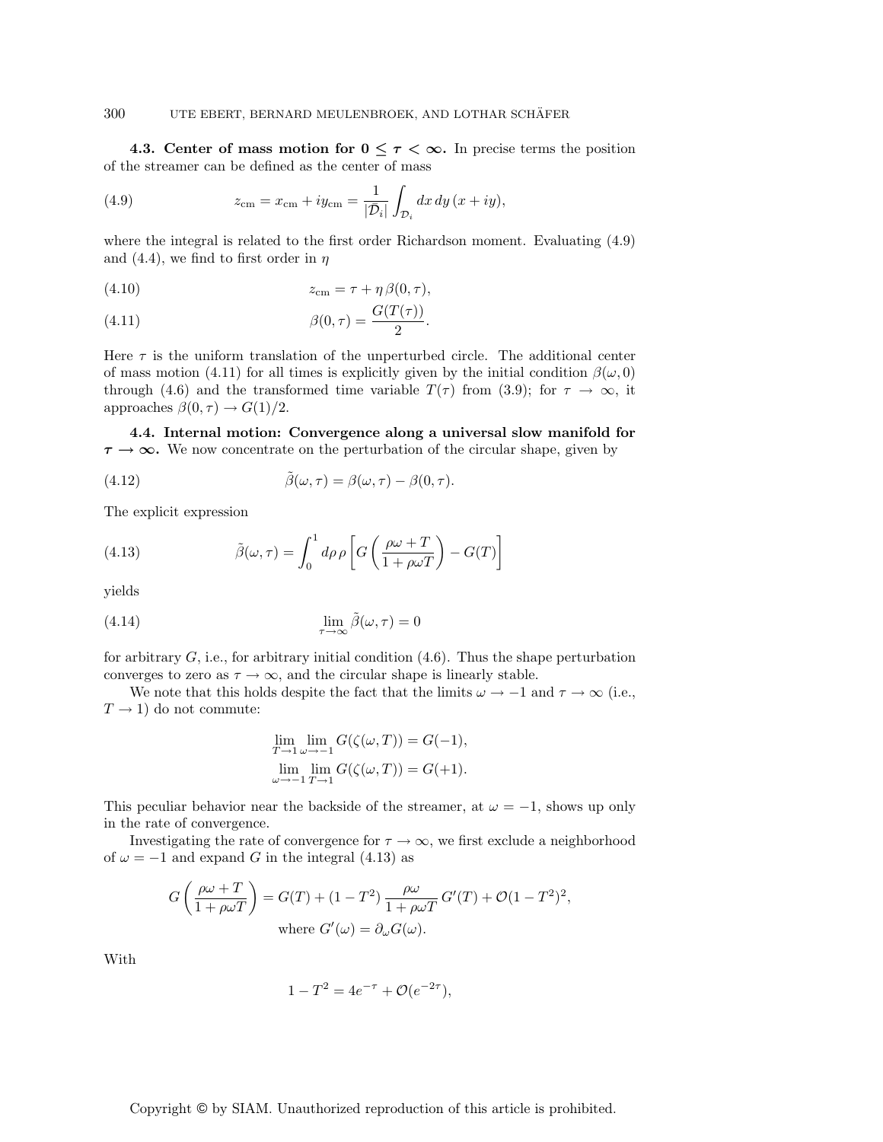**4.3. Center of mass motion for**  $0 \leq \tau < \infty$ **.** In precise terms the position of the streamer can be defined as the center of mass

(4.9) 
$$
z_{\text{cm}} = x_{\text{cm}} + iy_{\text{cm}} = \frac{1}{|\bar{\mathcal{D}}_i|} \int_{\mathcal{D}_i} dx \, dy \, (x + iy),
$$

where the integral is related to the first order Richardson moment. Evaluating (4.9) and (4.4), we find to first order in  $\eta$ 

$$
(4.10) \t\t\t z_{\rm cm} = \tau + \eta \,\beta(0,\tau),
$$

(4.11) 
$$
\beta(0,\tau) = \frac{G(T(\tau))}{2}.
$$

Here  $\tau$  is the uniform translation of the unperturbed circle. The additional center of mass motion (4.11) for all times is explicitly given by the initial condition  $\beta(\omega, 0)$ through (4.6) and the transformed time variable  $T(\tau)$  from (3.9); for  $\tau \to \infty$ , it approaches  $\beta(0, \tau) \rightarrow G(1)/2$ .

**4.4. Internal motion: Convergence along a universal slow manifold for** *τ → ∞***.** We now concentrate on the perturbation of the circular shape, given by

(4.12) 
$$
\tilde{\beta}(\omega,\tau) = \beta(\omega,\tau) - \beta(0,\tau).
$$

The explicit expression

(4.13) 
$$
\tilde{\beta}(\omega,\tau) = \int_0^1 d\rho \,\rho \left[ G\left(\frac{\rho\omega + T}{1 + \rho\omega T}\right) - G(T) \right]
$$

yields

(4.14) 
$$
\lim_{\tau \to \infty} \tilde{\beta}(\omega, \tau) = 0
$$

for arbitrary  $G$ , i.e., for arbitrary initial condition  $(4.6)$ . Thus the shape perturbation converges to zero as  $\tau \to \infty$ , and the circular shape is linearly stable.

We note that this holds despite the fact that the limits  $\omega \to -1$  and  $\tau \to \infty$  (i.e.,  $T \rightarrow 1$ ) do not commute:

$$
\lim_{T \to 1} \lim_{\omega \to -1} G(\zeta(\omega, T)) = G(-1),
$$
  

$$
\lim_{\omega \to -1} \lim_{T \to 1} G(\zeta(\omega, T)) = G(+1).
$$

This peculiar behavior near the backside of the streamer, at  $\omega = -1$ , shows up only in the rate of convergence.

Investigating the rate of convergence for  $\tau \to \infty$ , we first exclude a neighborhood of  $\omega = -1$  and expand G in the integral (4.13) as

$$
G\left(\frac{\rho\omega+T}{1+\rho\omega T}\right) = G(T) + (1 - T^2) \frac{\rho\omega}{1+\rho\omega T} G'(T) + \mathcal{O}(1 - T^2)^2,
$$
  
where  $G'(\omega) = \partial_{\omega}G(\omega)$ .

With

$$
1 - T^2 = 4e^{-\tau} + \mathcal{O}(e^{-2\tau}),
$$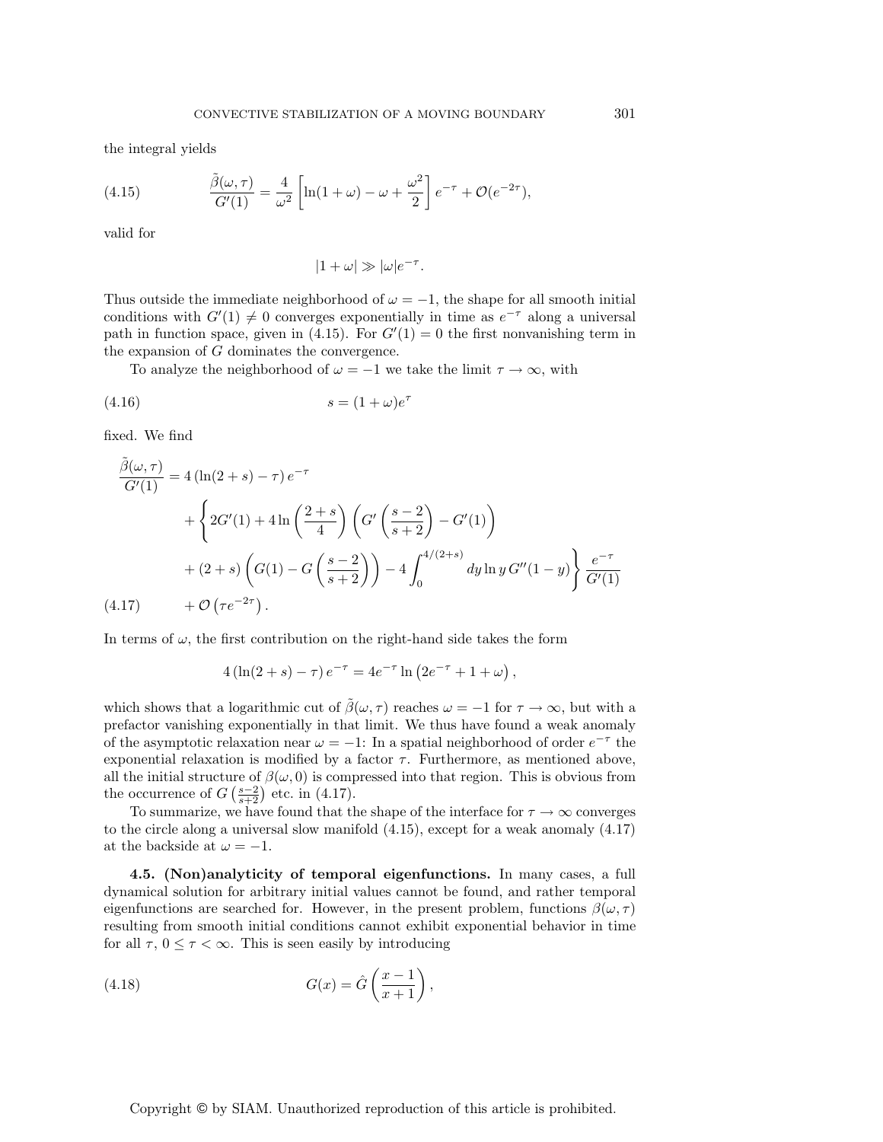the integral yields

(4.15) 
$$
\frac{\tilde{\beta}(\omega,\tau)}{G'(1)} = \frac{4}{\omega^2} \left[ \ln(1+\omega) - \omega + \frac{\omega^2}{2} \right] e^{-\tau} + \mathcal{O}(e^{-2\tau}),
$$

valid for

$$
|1+\omega|\gg |\omega|e^{-\tau}.
$$

Thus outside the immediate neighborhood of  $\omega = -1$ , the shape for all smooth initial conditions with  $G'(1) \neq 0$  converges exponentially in time as  $e^{-\tau}$  along a universal path in function space, given in (4.15). For  $G'(1) = 0$  the first nonvanishing term in the expansion of G dominates the convergence.

To analyze the neighborhood of  $\omega = -1$  we take the limit  $\tau \to \infty$ , with

$$
(4.16)\qquad \qquad s = (1 + \omega)e^{\tau}
$$

fixed. We find

$$
\frac{\tilde{\beta}(\omega,\tau)}{G'(1)} = 4(\ln(2+s) - \tau) e^{-\tau}
$$
  
+ 
$$
\left\{ 2G'(1) + 4\ln\left(\frac{2+s}{4}\right) \left( G'\left(\frac{s-2}{s+2}\right) - G'(1) \right) + (2+s)\left( G(1) - G\left(\frac{s-2}{s+2}\right) \right) - 4\int_0^{4/(2+s)} dy \ln y G''(1-y) \right\} \frac{e^{-\tau}}{G'(1)}
$$
  
(4.17) +  $\mathcal{O}\left(\tau e^{-2\tau}\right)$ .

In terms of  $\omega$ , the first contribution on the right-hand side takes the form

$$
4\left(\ln(2+s)-\tau\right)e^{-\tau} = 4e^{-\tau}\ln\left(2e^{-\tau} + 1 + \omega\right),\,
$$

which shows that a logarithmic cut of  $\tilde{\beta}(\omega, \tau)$  reaches  $\omega = -1$  for  $\tau \to \infty$ , but with a prefactor vanishing exponentially in that limit. We thus have found a weak anomaly of the asymptotic relaxation near  $\omega = -1$ : In a spatial neighborhood of order  $e^{-\tau}$  the exponential relaxation is modified by a factor  $\tau$ . Furthermore, as mentioned above, all the initial structure of  $\beta(\omega, 0)$  is compressed into that region. This is obvious from the occurrence of  $G\left(\frac{s-2}{s+2}\right)$  etc. in (4.17).

To summarize, we have found that the shape of the interface for  $\tau \to \infty$  converges to the circle along a universal slow manifold (4.15), except for a weak anomaly (4.17) at the backside at  $\omega = -1$ .

**4.5. (Non)analyticity of temporal eigenfunctions.** In many cases, a full dynamical solution for arbitrary initial values cannot be found, and rather temporal eigenfunctions are searched for. However, in the present problem, functions  $\beta(\omega, \tau)$ resulting from smooth initial conditions cannot exhibit exponential behavior in time for all  $\tau$ ,  $0 \leq \tau < \infty$ . This is seen easily by introducing

(4.18) 
$$
G(x) = \hat{G}\left(\frac{x-1}{x+1}\right),
$$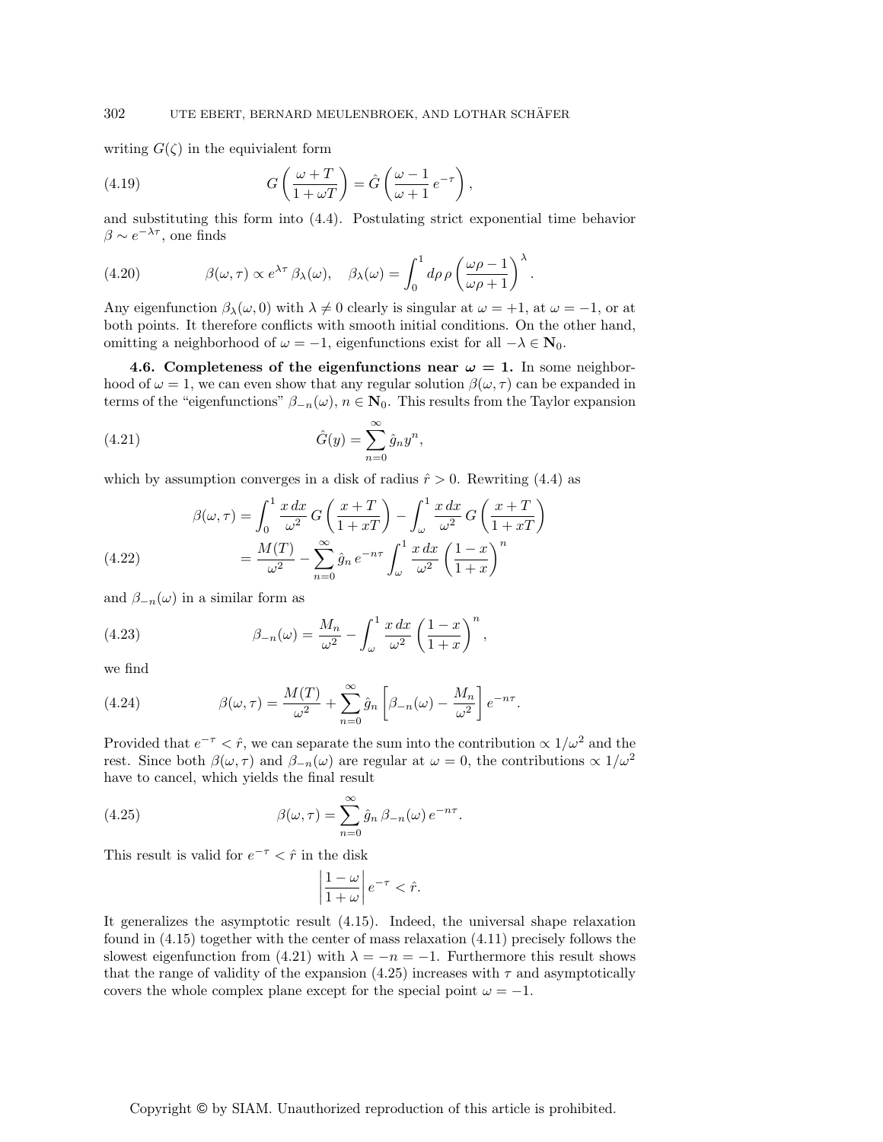writing  $G(\zeta)$  in the equivialent form

(4.19) 
$$
G\left(\frac{\omega+T}{1+\omega T}\right) = \hat{G}\left(\frac{\omega-1}{\omega+1}e^{-\tau}\right),
$$

and substituting this form into (4.4). Postulating strict exponential time behavior  $\beta \sim e^{-\lambda \tau}$ , one finds

(4.20) 
$$
\beta(\omega,\tau) \propto e^{\lambda \tau} \beta_{\lambda}(\omega), \quad \beta_{\lambda}(\omega) = \int_0^1 d\rho \, \rho \left(\frac{\omega \rho - 1}{\omega \rho + 1}\right)^{\lambda}.
$$

Any eigenfunction  $\beta_{\lambda}(\omega, 0)$  with  $\lambda \neq 0$  clearly is singular at  $\omega = +1$ , at  $\omega = -1$ , or at both points. It therefore conflicts with smooth initial conditions. On the other hand, omitting a neighborhood of  $ω = -1$ , eigenfunctions exist for all  $-λ ∈ N<sub>0</sub>$ .

**4.6. Completeness of the eigenfunctions near**  $\omega = 1$ **.** In some neighborhood of  $\omega = 1$ , we can even show that any regular solution  $\beta(\omega, \tau)$  can be expanded in terms of the "eigenfunctions"  $\beta_{-n}(\omega)$ ,  $n \in \mathbb{N}_0$ . This results from the Taylor expansion

(4.21) 
$$
\hat{G}(y) = \sum_{n=0}^{\infty} \hat{g}_n y^n,
$$

which by assumption converges in a disk of radius  $\hat{r} > 0$ . Rewriting (4.4) as

(4.22) 
$$
\beta(\omega,\tau) = \int_0^1 \frac{x \, dx}{\omega^2} G\left(\frac{x+T}{1+xT}\right) - \int_\omega^1 \frac{x \, dx}{\omega^2} G\left(\frac{x+T}{1+xT}\right)
$$

$$
= \frac{M(T)}{\omega^2} - \sum_{n=0}^\infty \hat{g}_n e^{-n\tau} \int_\omega^1 \frac{x \, dx}{\omega^2} \left(\frac{1-x}{1+x}\right)^n
$$

and  $\beta_{-n}(\omega)$  in a similar form as

(4.23) 
$$
\beta_{-n}(\omega) = \frac{M_n}{\omega^2} - \int_{\omega}^1 \frac{x \, dx}{\omega^2} \left(\frac{1-x}{1+x}\right)^n,
$$

we find

(4.24) 
$$
\beta(\omega,\tau) = \frac{M(T)}{\omega^2} + \sum_{n=0}^{\infty} \hat{g}_n \left[ \beta_{-n}(\omega) - \frac{M_n}{\omega^2} \right] e^{-n\tau}.
$$

Provided that  $e^{-\tau} < \hat{r}$ , we can separate the sum into the contribution  $\propto 1/\omega^2$  and the rest. Since both  $\beta(\omega, \tau)$  and  $\beta_{-n}(\omega)$  are regular at  $\omega = 0$ , the contributions  $\propto 1/\omega^2$ have to cancel, which yields the final result

(4.25) 
$$
\beta(\omega,\tau) = \sum_{n=0}^{\infty} \hat{g}_n \,\beta_{-n}(\omega) \, e^{-n\tau}.
$$

This result is valid for  $e^{-\tau} < \hat{r}$  in the disk

$$
\left|\frac{1-\omega}{1+\omega}\right|e^{-\tau} < \hat{r}.
$$

It generalizes the asymptotic result (4.15). Indeed, the universal shape relaxation found in (4.15) together with the center of mass relaxation (4.11) precisely follows the slowest eigenfunction from (4.21) with  $\lambda = -n = -1$ . Furthermore this result shows that the range of validity of the expansion (4.25) increases with  $\tau$  and asymptotically covers the whole complex plane except for the special point  $\omega = -1$ .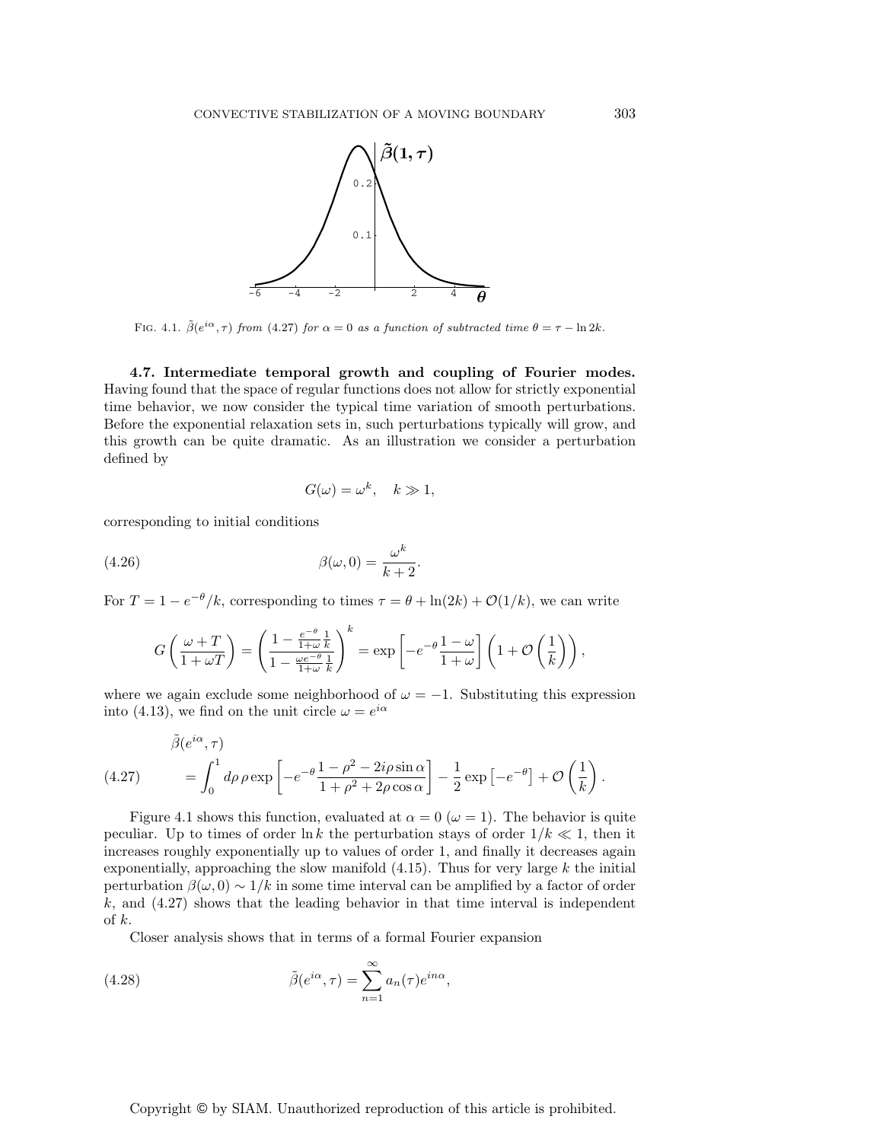

FIG. 4.1.  $\tilde{\beta}(e^{i\alpha}, \tau)$  from (4.27) for  $\alpha = 0$  as a function of subtracted time  $\theta = \tau - \ln 2k$ .

**4.7. Intermediate temporal growth and coupling of Fourier modes.** Having found that the space of regular functions does not allow for strictly exponential time behavior, we now consider the typical time variation of smooth perturbations. Before the exponential relaxation sets in, such perturbations typically will grow, and this growth can be quite dramatic. As an illustration we consider a perturbation defined by

$$
G(\omega) = \omega^k, \quad k \gg 1,
$$

corresponding to initial conditions

(4.26) 
$$
\beta(\omega, 0) = \frac{\omega^k}{k+2}.
$$

For  $T = 1 - e^{-\theta}/k$ , corresponding to times  $\tau = \theta + \ln(2k) + \mathcal{O}(1/k)$ , we can write

$$
G\left(\frac{\omega+T}{1+\omega T}\right) = \left(\frac{1-\frac{e^{-\theta}}{1+\omega}\frac{1}{k}}{1-\frac{\omega e^{-\theta}}{1+\omega}\frac{1}{k}}\right)^k = \exp\left[-e^{-\theta}\frac{1-\omega}{1+\omega}\right]\left(1+\mathcal{O}\left(\frac{1}{k}\right)\right),\,
$$

where we again exclude some neighborhood of  $\omega = -1$ . Substituting this expression into (4.13), we find on the unit circle  $\omega = e^{i\alpha}$ 

(4.27) 
$$
\tilde{\beta}(e^{i\alpha}, \tau) = \int_0^1 d\rho \, \rho \exp\left[-e^{-\theta} \frac{1-\rho^2 - 2i\rho \sin \alpha}{1+\rho^2 + 2\rho \cos \alpha}\right] - \frac{1}{2} \exp\left[-e^{-\theta}\right] + \mathcal{O}\left(\frac{1}{k}\right).
$$

Figure 4.1 shows this function, evaluated at  $\alpha = 0$  ( $\omega = 1$ ). The behavior is quite peculiar. Up to times of order  $\ln k$  the perturbation stays of order  $1/k \ll 1$ , then it increases roughly exponentially up to values of order 1, and finally it decreases again exponentially, approaching the slow manifold  $(4.15)$ . Thus for very large k the initial perturbation  $\beta(\omega, 0) \sim 1/k$  in some time interval can be amplified by a factor of order  $k$ , and  $(4.27)$  shows that the leading behavior in that time interval is independent of k.

Closer analysis shows that in terms of a formal Fourier expansion

(4.28) 
$$
\tilde{\beta}(e^{i\alpha}, \tau) = \sum_{n=1}^{\infty} a_n(\tau) e^{in\alpha},
$$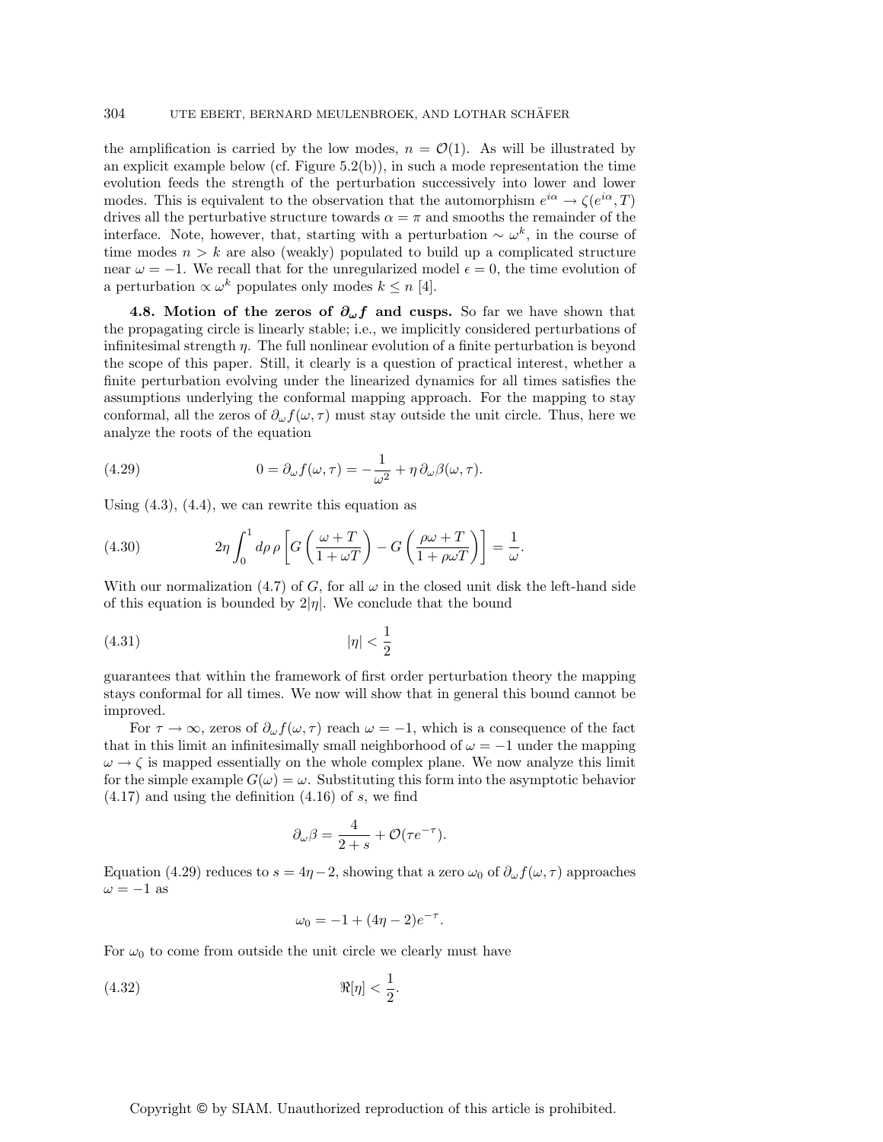the amplification is carried by the low modes,  $n = \mathcal{O}(1)$ . As will be illustrated by an explicit example below (cf. Figure  $5.2(b)$ ), in such a mode representation the time evolution feeds the strength of the perturbation successively into lower and lower modes. This is equivalent to the observation that the automorphism  $e^{i\alpha} \to \zeta(e^{i\alpha}, T)$ drives all the perturbative structure towards  $\alpha = \pi$  and smooths the remainder of the interface. Note, however, that, starting with a perturbation  $\sim \omega^k$ , in the course of time modes  $n > k$  are also (weakly) populated to build up a complicated structure near  $\omega = -1$ . We recall that for the unregularized model  $\epsilon = 0$ , the time evolution of a perturbation  $\propto \omega^k$  populates only modes  $k \leq n$  [4].

**4.8. Motion of the zeros of** *∂ωf* **and cusps.** So far we have shown that the propagating circle is linearly stable; i.e., we implicitly considered perturbations of infinitesimal strength  $\eta$ . The full nonlinear evolution of a finite perturbation is beyond the scope of this paper. Still, it clearly is a question of practical interest, whether a finite perturbation evolving under the linearized dynamics for all times satisfies the assumptions underlying the conformal mapping approach. For the mapping to stay conformal, all the zeros of  $\partial_{\omega} f(\omega, \tau)$  must stay outside the unit circle. Thus, here we analyze the roots of the equation

(4.29) 
$$
0 = \partial_{\omega} f(\omega, \tau) = -\frac{1}{\omega^2} + \eta \partial_{\omega} \beta(\omega, \tau).
$$

Using  $(4.3)$ ,  $(4.4)$ , we can rewrite this equation as

(4.30) 
$$
2\eta \int_0^1 d\rho \rho \left[ G\left(\frac{\omega + T}{1 + \omega T}\right) - G\left(\frac{\rho \omega + T}{1 + \rho \omega T}\right) \right] = \frac{1}{\omega}.
$$

With our normalization (4.7) of G, for all  $\omega$  in the closed unit disk the left-hand side of this equation is bounded by  $2|\eta|$ . We conclude that the bound

$$
(4.31)\qquad \qquad |\eta| < \frac{1}{2}
$$

guarantees that within the framework of first order perturbation theory the mapping stays conformal for all times. We now will show that in general this bound cannot be improved.

For  $\tau \to \infty$ , zeros of  $\partial_{\omega} f(\omega, \tau)$  reach  $\omega = -1$ , which is a consequence of the fact that in this limit an infinitesimally small neighborhood of  $\omega = -1$  under the mapping  $\omega \rightarrow \zeta$  is mapped essentially on the whole complex plane. We now analyze this limit for the simple example  $G(\omega) = \omega$ . Substituting this form into the asymptotic behavior  $(4.17)$  and using the definition  $(4.16)$  of s, we find

$$
\partial_{\omega}\beta = \frac{4}{2+s} + \mathcal{O}(\tau e^{-\tau}).
$$

Equation (4.29) reduces to  $s = 4\eta - 2$ , showing that a zero  $\omega_0$  of  $\partial_\omega f(\omega, \tau)$  approaches  $\omega = -1$  as

$$
\omega_0 = -1 + (4\eta - 2)e^{-\tau}.
$$

For  $\omega_0$  to come from outside the unit circle we clearly must have

$$
\Re[\eta] < \frac{1}{2}.
$$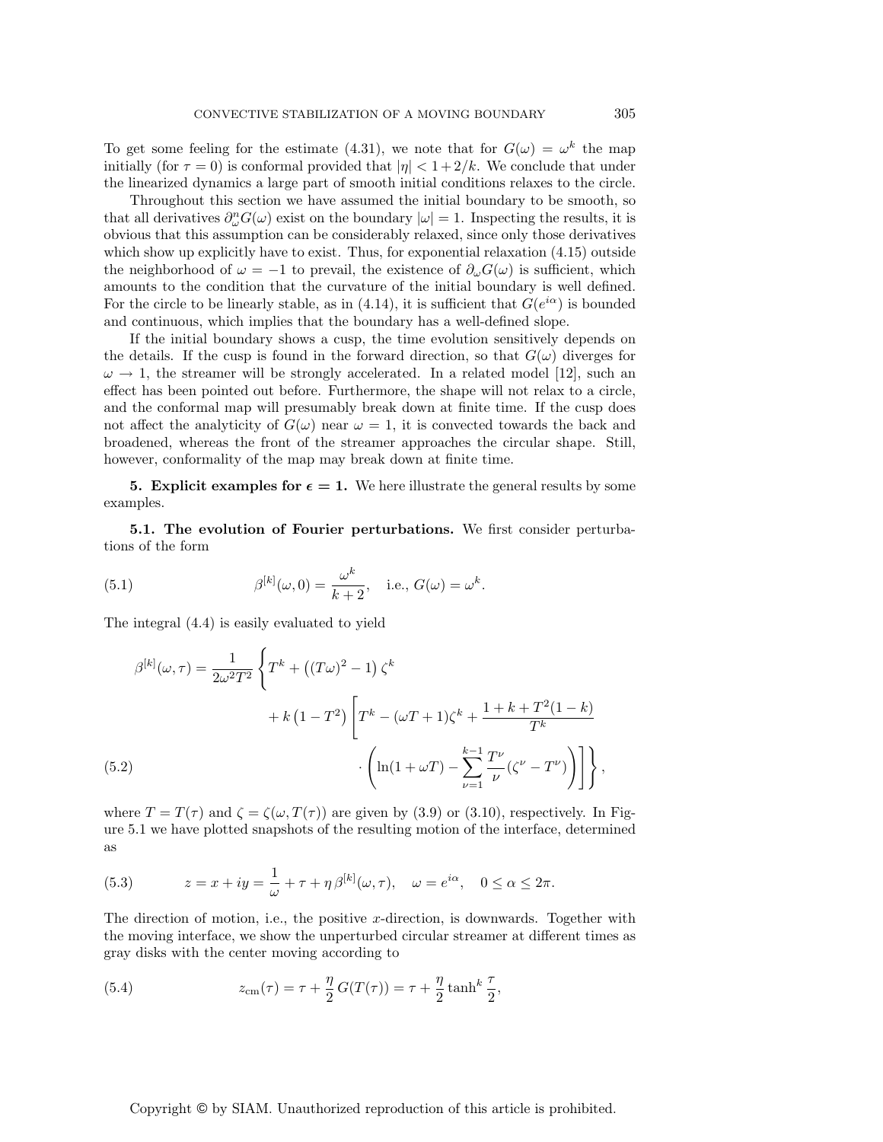To get some feeling for the estimate (4.31), we note that for  $G(\omega) = \omega^k$  the map initially (for  $\tau = 0$ ) is conformal provided that  $|\eta| < 1 + 2/k$ . We conclude that under the linearized dynamics a large part of smooth initial conditions relaxes to the circle.

Throughout this section we have assumed the initial boundary to be smooth, so that all derivatives  $\partial_{\omega}^{n}G(\omega)$  exist on the boundary  $|\omega|=1$ . Inspecting the results, it is obvious that this assumption can be considerably relaxed, since only those derivatives which show up explicitly have to exist. Thus, for exponential relaxation  $(4.15)$  outside the neighborhood of  $\omega = -1$  to prevail, the existence of  $\partial_{\omega}G(\omega)$  is sufficient, which amounts to the condition that the curvature of the initial boundary is well defined. For the circle to be linearly stable, as in (4.14), it is sufficient that  $G(e^{i\alpha})$  is bounded and continuous, which implies that the boundary has a well-defined slope.

If the initial boundary shows a cusp, the time evolution sensitively depends on the details. If the cusp is found in the forward direction, so that  $G(\omega)$  diverges for  $\omega \rightarrow 1$ , the streamer will be strongly accelerated. In a related model [12], such an effect has been pointed out before. Furthermore, the shape will not relax to a circle, and the conformal map will presumably break down at finite time. If the cusp does not affect the analyticity of  $G(\omega)$  near  $\omega = 1$ , it is convected towards the back and broadened, whereas the front of the streamer approaches the circular shape. Still, however, conformality of the map may break down at finite time.

**5. Explicit examples for**  $\epsilon = 1$ **.** We here illustrate the general results by some examples.

**5.1. The evolution of Fourier perturbations.** We first consider perturbations of the form

(5.1) 
$$
\beta^{[k]}(\omega,0) = \frac{\omega^k}{k+2}, \quad \text{i.e., } G(\omega) = \omega^k.
$$

The integral (4.4) is easily evaluated to yield

(5.2)  
\n
$$
\beta^{[k]}(\omega,\tau) = \frac{1}{2\omega^2 T^2} \left\{ T^k + ((T\omega)^2 - 1) \zeta^k + K(1 - T^2) \left[ T^k - (\omega T + 1) \zeta^k + \frac{1 + k + T^2 (1 - k)}{T^k} + K(1 - T^2) \left[ T^k - (\omega T + 1) \zeta^k + \frac{1 + k + T^2 (1 - k)}{T^k} \right] \right\},
$$
\n
$$
(5.2)
$$

where  $T = T(\tau)$  and  $\zeta = \zeta(\omega, T(\tau))$  are given by (3.9) or (3.10), respectively. In Figure 5.1 we have plotted snapshots of the resulting motion of the interface, determined as

(5.3) 
$$
z = x + iy = \frac{1}{\omega} + \tau + \eta \beta^{[k]}(\omega, \tau), \quad \omega = e^{i\alpha}, \quad 0 \le \alpha \le 2\pi.
$$

The direction of motion, i.e., the positive x-direction, is downwards. Together with the moving interface, we show the unperturbed circular streamer at different times as gray disks with the center moving according to

(5.4) 
$$
z_{\text{cm}}(\tau) = \tau + \frac{\eta}{2} G(T(\tau)) = \tau + \frac{\eta}{2} \tanh^k \frac{\tau}{2},
$$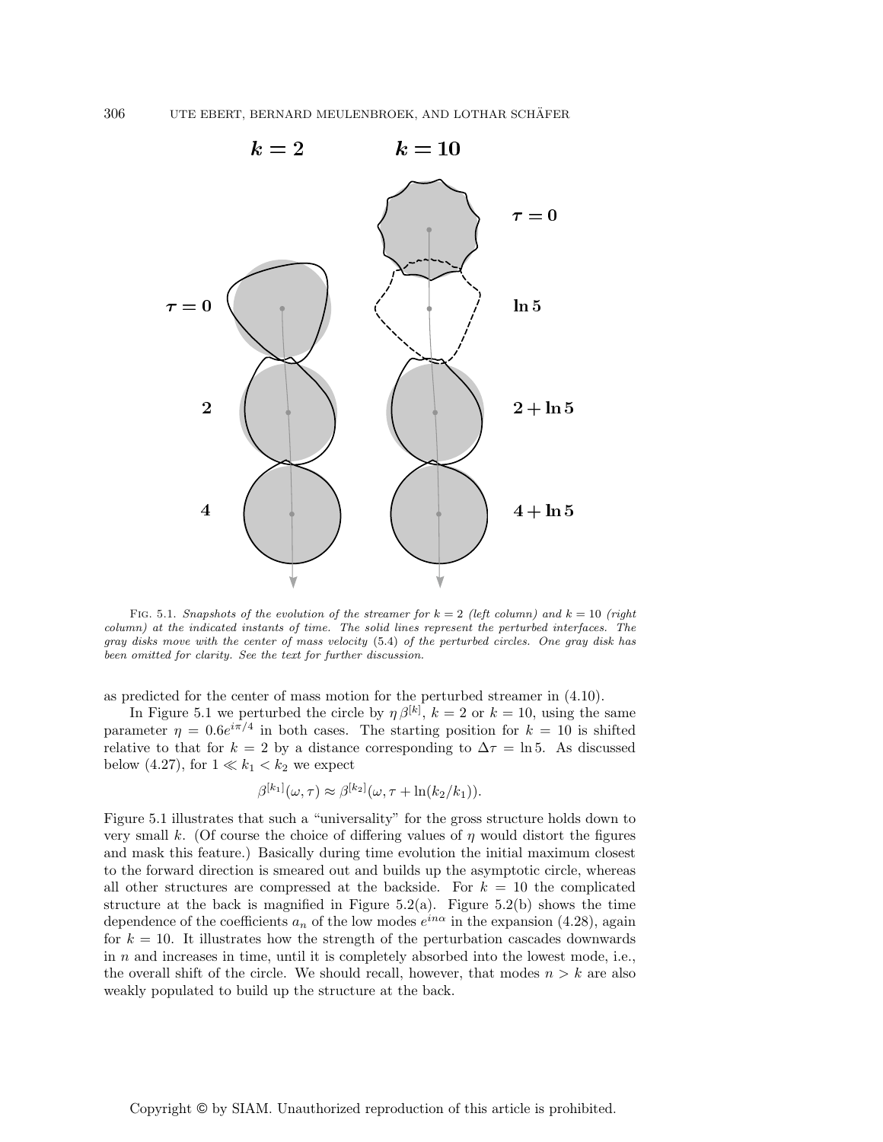

FIG. 5.1. Snapshots of the evolution of the streamer for  $k = 2$  (left column) and  $k = 10$  (right column) at the indicated instants of time. The solid lines represent the perturbed interfaces. The gray disks move with the center of mass velocity (5.4) of the perturbed circles. One gray disk has been omitted for clarity. See the text for further discussion.

as predicted for the center of mass motion for the perturbed streamer in (4.10).

In Figure 5.1 we perturbed the circle by  $\eta \beta^{[k]}$ ,  $k = 2$  or  $k = 10$ , using the same parameter  $\eta = 0.6e^{i\pi/4}$  in both cases. The starting position for  $k = 10$  is shifted relative to that for  $k = 2$  by a distance corresponding to  $\Delta \tau = \ln 5$ . As discussed below (4.27), for  $1 \ll k_1 < k_2$  we expect

$$
\beta^{[k_1]}(\omega,\tau) \approx \beta^{[k_2]}(\omega,\tau + \ln(k_2/k_1)).
$$

Figure 5.1 illustrates that such a "universality" for the gross structure holds down to very small k. (Of course the choice of differing values of  $\eta$  would distort the figures and mask this feature.) Basically during time evolution the initial maximum closest to the forward direction is smeared out and builds up the asymptotic circle, whereas all other structures are compressed at the backside. For  $k = 10$  the complicated structure at the back is magnified in Figure  $5.2(a)$ . Figure  $5.2(b)$  shows the time dependence of the coefficients  $a_n$  of the low modes  $e^{in\alpha}$  in the expansion (4.28), again for  $k = 10$ . It illustrates how the strength of the perturbation cascades downwards in  $n$  and increases in time, until it is completely absorbed into the lowest mode, i.e., the overall shift of the circle. We should recall, however, that modes  $n > k$  are also weakly populated to build up the structure at the back.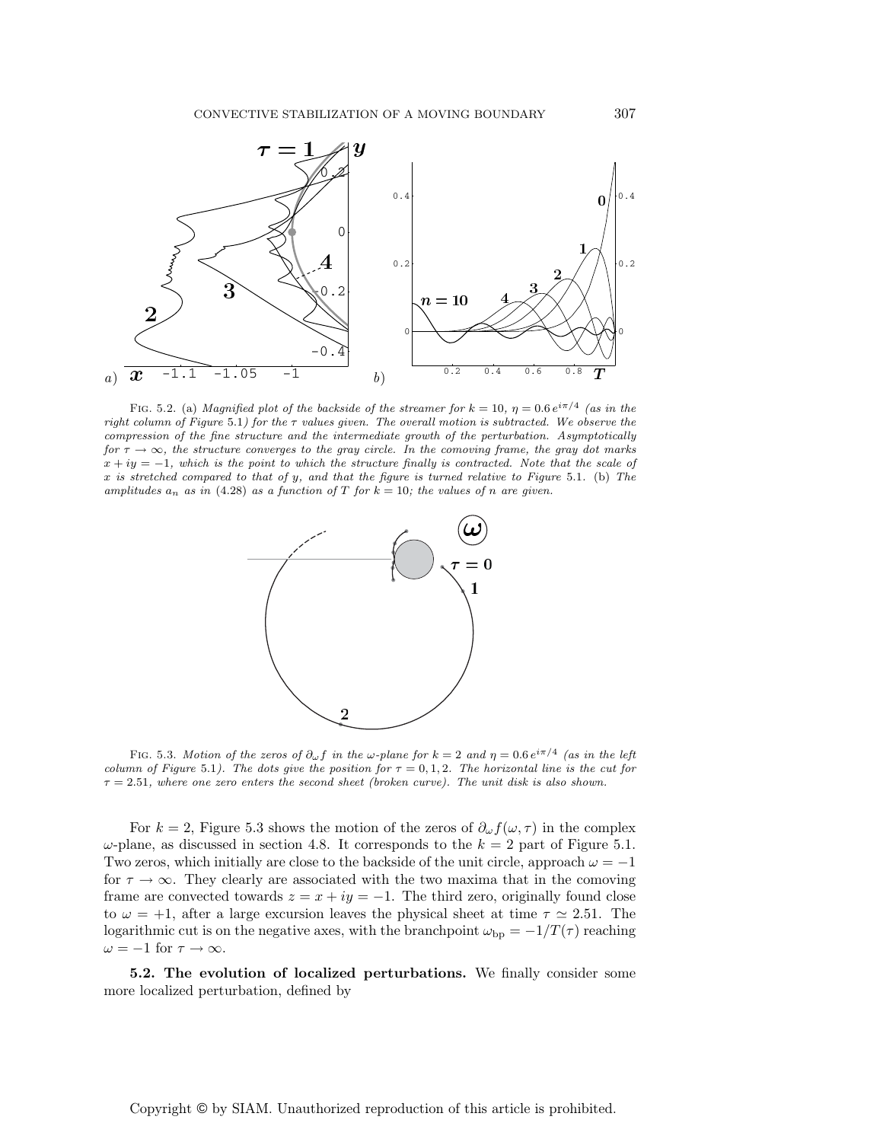

FIG. 5.2. (a) Magnified plot of the backside of the streamer for  $k = 10$ ,  $\eta = 0.6 e^{i\pi/4}$  (as in the right column of Figure 5.1) for the  $\tau$  values given. The overall motion is subtracted. We observe the compression of the fine structure and the intermediate growth of the perturbation. Asymptotically for  $\tau \to \infty$ , the structure converges to the gray circle. In the comoving frame, the gray dot marks  $x + iy = -1$ , which is the point to which the structure finally is contracted. Note that the scale of  $x$  is stretched compared to that of  $y$ , and that the figure is turned relative to Figure 5.1. (b) The amplitudes  $a_n$  as in (4.28) as a function of T for  $k = 10$ ; the values of n are given.



FIG. 5.3. Motion of the zeros of  $\partial_{\omega} f$  in the  $\omega$ -plane for  $k = 2$  and  $\eta = 0.6 e^{i\pi/4}$  (as in the left column of Figure 5.1). The dots give the position for  $\tau = 0, 1, 2$ . The horizontal line is the cut for  $\tau = 2.51$ , where one zero enters the second sheet (broken curve). The unit disk is also shown.

For k = 2, Figure 5.3 shows the motion of the zeros of  $\partial_{\omega} f(\omega, \tau)$  in the complex  $\omega$ -plane, as discussed in section 4.8. It corresponds to the  $k = 2$  part of Figure 5.1. Two zeros, which initially are close to the backside of the unit circle, approach  $\omega = -1$ for  $\tau \to \infty$ . They clearly are associated with the two maxima that in the comoving frame are convected towards  $z = x + iy = -1$ . The third zero, originally found close to  $\omega = +1$ , after a large excursion leaves the physical sheet at time  $\tau \simeq 2.51$ . The logarithmic cut is on the negative axes, with the branchpoint  $\omega_{bp} = -1/T(\tau)$  reaching  $\omega = -1$  for  $\tau \to \infty$ .

**5.2. The evolution of localized perturbations.** We finally consider some more localized perturbation, defined by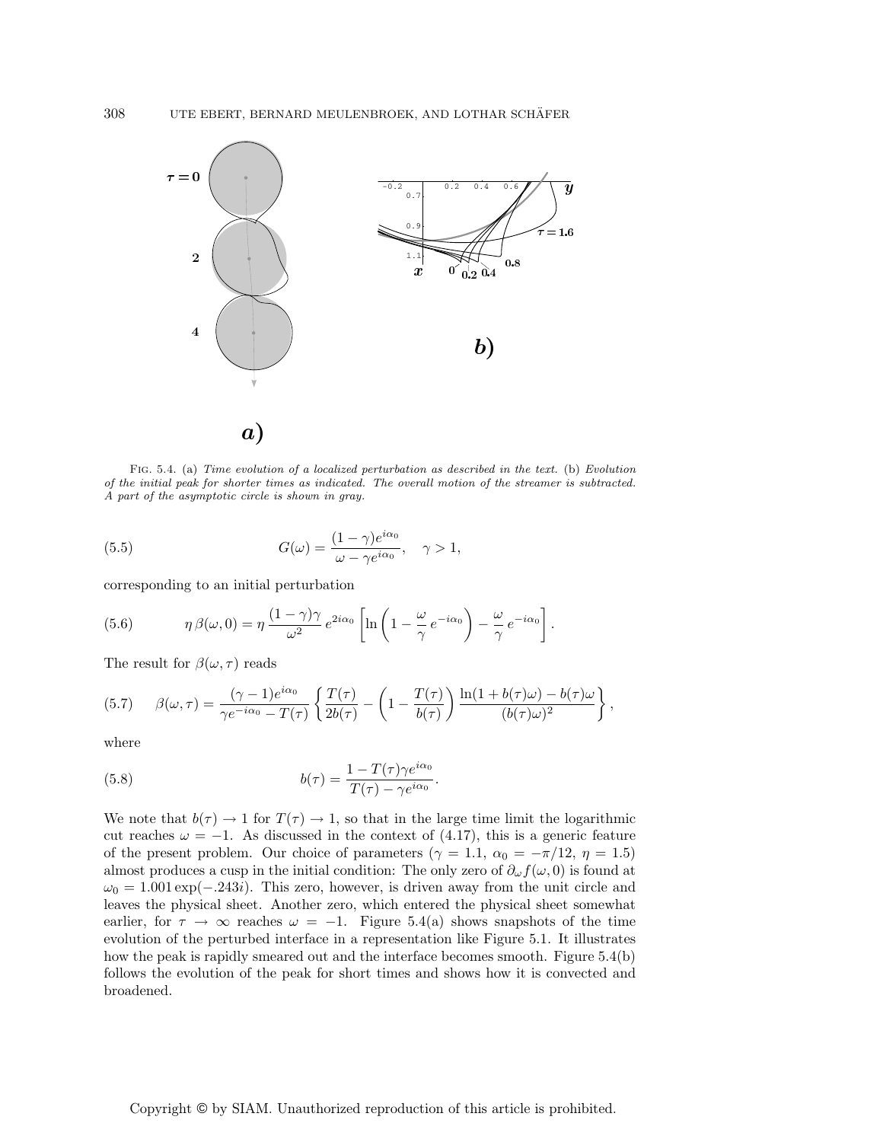

Fig. 5.4. (a) Time evolution of a localized perturbation as described in the text. (b) Evolution of the initial peak for shorter times as indicated. The overall motion of the streamer is subtracted. A part of the asymptotic circle is shown in gray.

(5.5) 
$$
G(\omega) = \frac{(1 - \gamma)e^{i\alpha_0}}{\omega - \gamma e^{i\alpha_0}}, \quad \gamma > 1,
$$

corresponding to an initial perturbation

(5.6) 
$$
\eta \beta(\omega, 0) = \eta \frac{(1 - \gamma)\gamma}{\omega^2} e^{2i\alpha_0} \left[ \ln \left( 1 - \frac{\omega}{\gamma} e^{-i\alpha_0} \right) - \frac{\omega}{\gamma} e^{-i\alpha_0} \right].
$$

The result for  $\beta(\omega, \tau)$  reads

(5.7) 
$$
\beta(\omega,\tau) = \frac{(\gamma - 1)e^{i\alpha_0}}{\gamma e^{-i\alpha_0} - T(\tau)} \left\{ \frac{T(\tau)}{2b(\tau)} - \left(1 - \frac{T(\tau)}{b(\tau)}\right) \frac{\ln(1 + b(\tau)\omega) - b(\tau)\omega}{(b(\tau)\omega)^2} \right\},
$$

where

(5.8) 
$$
b(\tau) = \frac{1 - T(\tau)\gamma e^{i\alpha_0}}{T(\tau) - \gamma e^{i\alpha_0}}.
$$

We note that  $b(\tau) \to 1$  for  $T(\tau) \to 1$ , so that in the large time limit the logarithmic cut reaches  $\omega = -1$ . As discussed in the context of (4.17), this is a generic feature of the present problem. Our choice of parameters ( $\gamma = 1.1, \alpha_0 = -\pi/12, \eta = 1.5$ ) almost produces a cusp in the initial condition: The only zero of  $\partial_{\omega} f(\omega, 0)$  is found at  $\omega_0 = 1.001 \exp(-.243i)$ . This zero, however, is driven away from the unit circle and leaves the physical sheet. Another zero, which entered the physical sheet somewhat earlier, for  $\tau \to \infty$  reaches  $\omega = -1$ . Figure 5.4(a) shows snapshots of the time evolution of the perturbed interface in a representation like Figure 5.1. It illustrates how the peak is rapidly smeared out and the interface becomes smooth. Figure 5.4(b) follows the evolution of the peak for short times and shows how it is convected and broadened.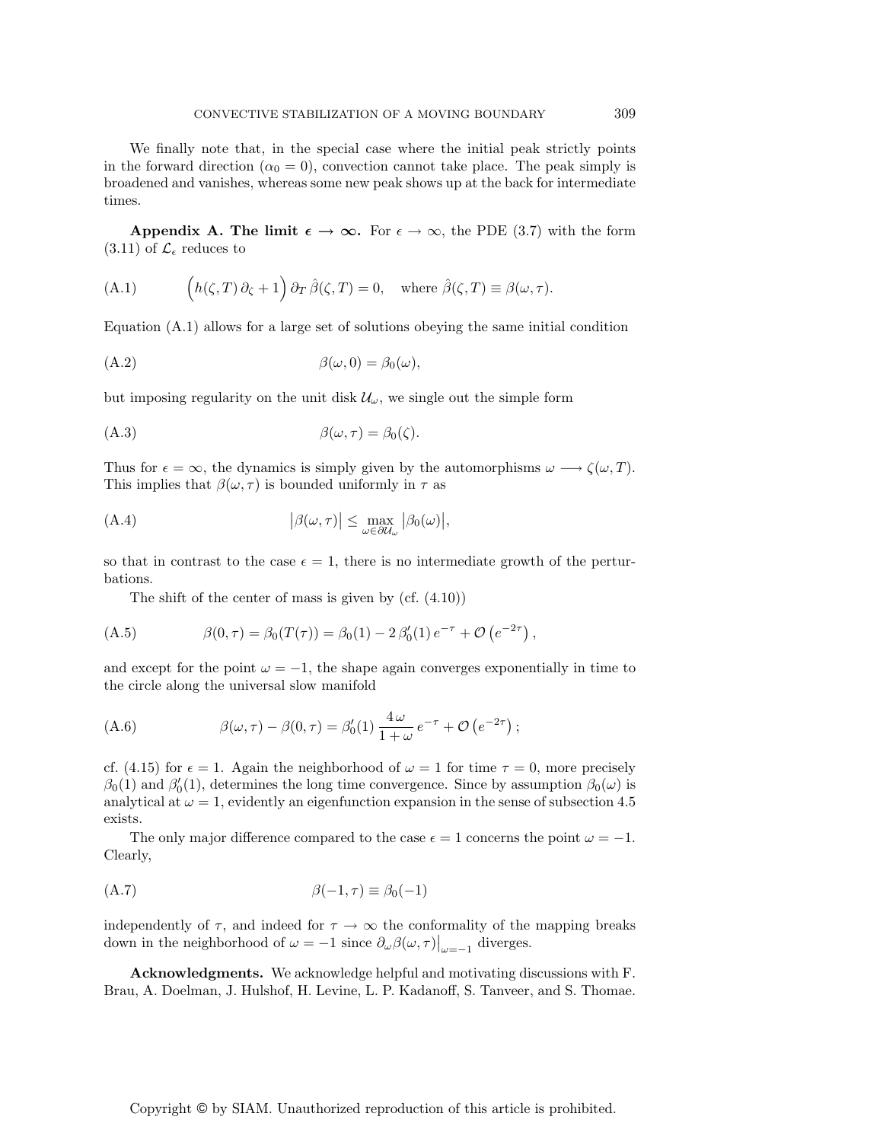We finally note that, in the special case where the initial peak strictly points in the forward direction ( $\alpha_0 = 0$ ), convection cannot take place. The peak simply is broadened and vanishes, whereas some new peak shows up at the back for intermediate times.

**Appendix A. The limit**  $\epsilon \to \infty$ . For  $\epsilon \to \infty$ , the PDE (3.7) with the form  $(3.11)$  of  $\mathcal{L}_{\epsilon}$  reduces to

(A.1) 
$$
\left(h(\zeta,T)\,\partial_{\zeta}+1\right)\partial_{T}\,\hat{\beta}(\zeta,T)=0, \text{ where } \hat{\beta}(\zeta,T)\equiv\beta(\omega,\tau).
$$

Equation (A.1) allows for a large set of solutions obeying the same initial condition

$$
\beta(\omega, 0) = \beta_0(\omega),
$$

but imposing regularity on the unit disk  $\mathcal{U}_{\omega}$ , we single out the simple form

$$
\beta(\omega,\tau) = \beta_0(\zeta).
$$

Thus for  $\epsilon = \infty$ , the dynamics is simply given by the automorphisms  $\omega \longrightarrow \zeta(\omega, T)$ . This implies that  $\beta(\omega, \tau)$  is bounded uniformly in  $\tau$  as

(A.4) 
$$
|\beta(\omega,\tau)| \leq \max_{\omega \in \partial \mathcal{U}_{\omega}} |\beta_0(\omega)|,
$$

so that in contrast to the case  $\epsilon = 1$ , there is no intermediate growth of the perturbations.

The shift of the center of mass is given by (cf. (4.10))

(A.5) 
$$
\beta(0,\tau) = \beta_0(T(\tau)) = \beta_0(1) - 2\beta'_0(1) e^{-\tau} + \mathcal{O}(e^{-2\tau}),
$$

and except for the point  $\omega = -1$ , the shape again converges exponentially in time to the circle along the universal slow manifold

(A.6) 
$$
\beta(\omega,\tau) - \beta(0,\tau) = \beta'_0(1) \frac{4\omega}{1+\omega} e^{-\tau} + \mathcal{O}\left(e^{-2\tau}\right);
$$

cf. (4.15) for  $\epsilon = 1$ . Again the neighborhood of  $\omega = 1$  for time  $\tau = 0$ , more precisely  $\beta_0(1)$  and  $\beta'_0(1)$ , determines the long time convergence. Since by assumption  $\beta_0(\omega)$  is analytical at  $\omega = 1$ , evidently an eigenfunction expansion in the sense of subsection 4.5 exists.

The only major difference compared to the case  $\epsilon = 1$  concerns the point  $\omega = -1$ . Clearly,

$$
\beta(-1, \tau) \equiv \beta_0(-1)
$$

independently of  $\tau$ , and indeed for  $\tau \to \infty$  the conformality of the mapping breaks down in the neighborhood of  $\omega = -1$  since  $\partial_{\omega}\beta(\omega, \tau)\big|_{\omega=-1}$  diverges.

**Acknowledgments.** We acknowledge helpful and motivating discussions with F. Brau, A. Doelman, J. Hulshof, H. Levine, L. P. Kadanoff, S. Tanveer, and S. Thomae.